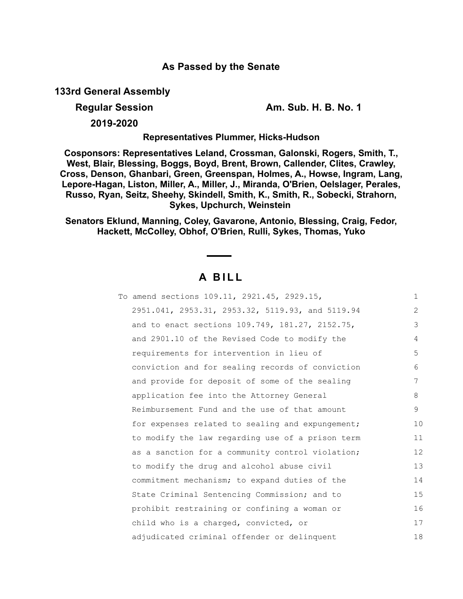## **As Passed by the Senate**

**133rd General Assembly**

**Regular Session Am. Sub. H. B. No. 1**

**2019-2020**

**Representatives Plummer, Hicks-Hudson**

**Cosponsors: Representatives Leland, Crossman, Galonski, Rogers, Smith, T., West, Blair, Blessing, Boggs, Boyd, Brent, Brown, Callender, Clites, Crawley, Cross, Denson, Ghanbari, Green, Greenspan, Holmes, A., Howse, Ingram, Lang, Lepore-Hagan, Liston, Miller, A., Miller, J., Miranda, O'Brien, Oelslager, Perales, Russo, Ryan, Seitz, Sheehy, Skindell, Smith, K., Smith, R., Sobecki, Strahorn, Sykes, Upchurch, Weinstein** 

**Senators Eklund, Manning, Coley, Gavarone, Antonio, Blessing, Craig, Fedor, Hackett, McColley, Obhof, O'Brien, Rulli, Sykes, Thomas, Yuko**

# **A B I L L**

| To amend sections 109.11, 2921.45, 2929.15,      | 1  |
|--------------------------------------------------|----|
| 2951.041, 2953.31, 2953.32, 5119.93, and 5119.94 | 2  |
| and to enact sections 109.749, 181.27, 2152.75,  | 3  |
| and 2901.10 of the Revised Code to modify the    | 4  |
| requirements for intervention in lieu of         | 5  |
| conviction and for sealing records of conviction | 6  |
| and provide for deposit of some of the sealing   | 7  |
| application fee into the Attorney General        | 8  |
| Reimbursement Fund and the use of that amount    | 9  |
| for expenses related to sealing and expungement; | 10 |
| to modify the law regarding use of a prison term | 11 |
| as a sanction for a community control violation; | 12 |
| to modify the drug and alcohol abuse civil       | 13 |
| commitment mechanism; to expand duties of the    | 14 |
| State Criminal Sentencing Commission; and to     | 15 |
| prohibit restraining or confining a woman or     | 16 |
| child who is a charged, convicted, or            | 17 |
| adjudicated criminal offender or delinquent      | 18 |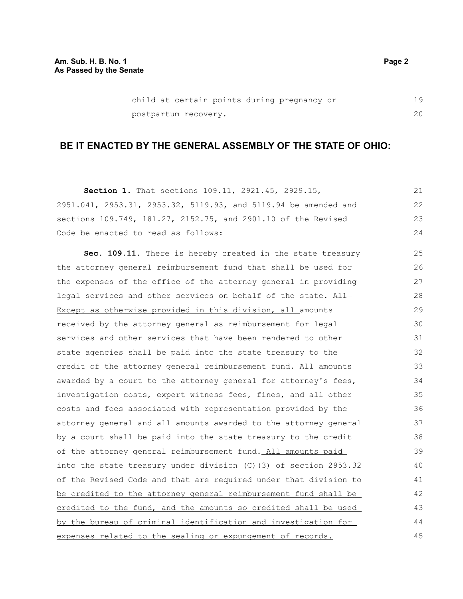### **BE IT ENACTED BY THE GENERAL ASSEMBLY OF THE STATE OF OHIO:**

**Section 1.** That sections 109.11, 2921.45, 2929.15, 2951.041, 2953.31, 2953.32, 5119.93, and 5119.94 be amended and sections 109.749, 181.27, 2152.75, and 2901.10 of the Revised Code be enacted to read as follows: 21 22 23  $24$ 

Sec. 109.11. There is hereby created in the state treasury the attorney general reimbursement fund that shall be used for the expenses of the office of the attorney general in providing legal services and other services on behalf of the state. All Except as otherwise provided in this division, all amounts received by the attorney general as reimbursement for legal services and other services that have been rendered to other state agencies shall be paid into the state treasury to the credit of the attorney general reimbursement fund. All amounts awarded by a court to the attorney general for attorney's fees, investigation costs, expert witness fees, fines, and all other costs and fees associated with representation provided by the attorney general and all amounts awarded to the attorney general by a court shall be paid into the state treasury to the credit of the attorney general reimbursement fund. All amounts paid into the state treasury under division (C)(3) of section 2953.32 of the Revised Code and that are required under that division to be credited to the attorney general reimbursement fund shall be credited to the fund, and the amounts so credited shall be used by the bureau of criminal identification and investigation for expenses related to the sealing or expungement of records. 25 26 27 28 29 30 31 32 33 34 35 36 37 38 39 40 41 42 43 44 45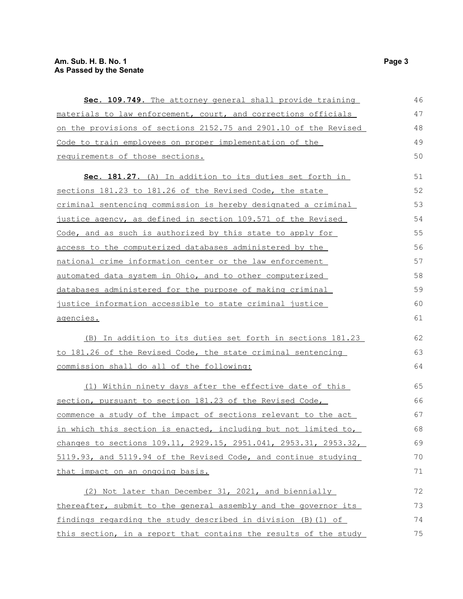| Sec. 109.749. The attorney general shall provide training        | 46 |
|------------------------------------------------------------------|----|
| materials to law enforcement, court, and corrections officials   | 47 |
| on the provisions of sections 2152.75 and 2901.10 of the Revised | 48 |
| Code to train employees on proper implementation of the          | 49 |
| requirements of those sections.                                  | 50 |
| Sec. 181.27. (A) In addition to its duties set forth in          | 51 |
| sections 181.23 to 181.26 of the Revised Code, the state         | 52 |
| criminal sentencing commission is hereby designated a criminal   | 53 |
| justice agency, as defined in section 109.571 of the Revised     | 54 |
| Code, and as such is authorized by this state to apply for       | 55 |
| access to the computerized databases administered by the         | 56 |
| national crime information center or the law enforcement         | 57 |
| automated data system in Ohio, and to other computerized         | 58 |
| databases administered for the purpose of making criminal        | 59 |
| justice information accessible to state criminal justice         | 60 |
| agencies.                                                        | 61 |
| (B) In addition to its duties set forth in sections 181.23       | 62 |
| to 181.26 of the Revised Code, the state criminal sentencing     | 63 |
| commission shall do all of the following:                        | 64 |
| (1) Within ninety days after the effective date of this          | 65 |
| section, pursuant to section 181.23 of the Revised Code,         | 66 |
| commence a study of the impact of sections relevant to the act   | 67 |
| in which this section is enacted, including but not limited to,  | 68 |
| changes to sections 109.11, 2929.15, 2951.041, 2953.31, 2953.32, | 69 |
| 5119.93, and 5119.94 of the Revised Code, and continue studying  | 70 |
| that impact on an ongoing basis.                                 | 71 |
| (2) Not later than December 31, 2021, and biennially             | 72 |
| thereafter, submit to the general assembly and the governor its  | 73 |
| findings regarding the study described in division (B) (1) of    | 74 |
| this section, in a report that contains the results of the study | 75 |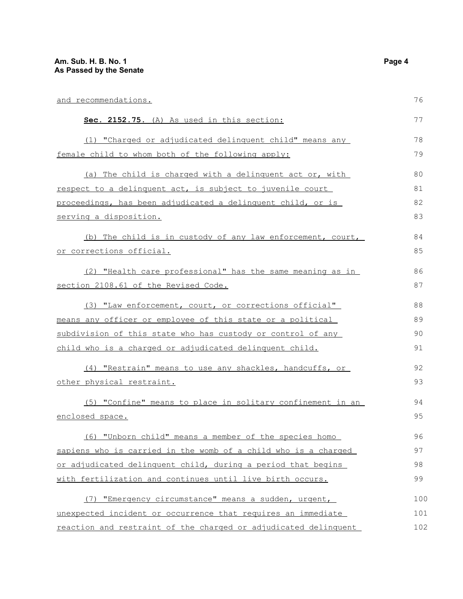| and recommendations.                                            | 76  |
|-----------------------------------------------------------------|-----|
| Sec. 2152.75. (A) As used in this section:                      | 77  |
| (1) "Charged or adjudicated delinquent child" means any         | 78  |
| female child to whom both of the following apply:               | 79  |
| (a) The child is charged with a delinguent act or, with         | 80  |
| respect to a delinquent act, is subject to juvenile court       | 81  |
| proceedings, has been adjudicated a delinquent child, or is     | 82  |
| serving a disposition.                                          | 83  |
| (b) The child is in custody of any law enforcement, court,      | 84  |
| or corrections official.                                        | 85  |
| (2) "Health care professional" has the same meaning as in       | 86  |
| section 2108.61 of the Revised Code.                            | 87  |
| (3) "Law enforcement, court, or corrections official"           | 88  |
| means any officer or employee of this state or a political      | 89  |
| subdivision of this state who has custody or control of any     | 90  |
| child who is a charged or adjudicated delinquent child.         | 91  |
| (4) "Restrain" means to use any shackles, handcuffs, or         | 92  |
| other physical restraint.                                       | 93  |
| (5) "Confine" means to place in solitary confinement in an      | 94  |
| enclosed space.                                                 | 95  |
| (6) "Unborn child" means a member of the species homo           | 96  |
| sapiens who is carried in the womb of a child who is a charged  | 97  |
| or adjudicated delinquent child, during a period that begins    | 98  |
| with fertilization and continues until live birth occurs.       | 99  |
| (7) "Emergency circumstance" means a sudden, urgent,            | 100 |
| unexpected incident or occurrence that requires an immediate    | 101 |
| reaction and restraint of the charged or adjudicated delinquent | 102 |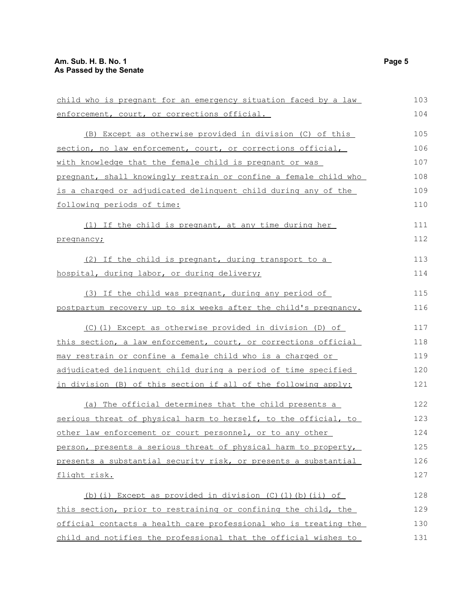| child who is pregnant for an emergency situation faced by a law  | 103 |
|------------------------------------------------------------------|-----|
| enforcement, court, or corrections official.                     | 104 |
| (B) Except as otherwise provided in division (C) of this         | 105 |
| section, no law enforcement, court, or corrections official,     | 106 |
| with knowledge that the female child is pregnant or was          | 107 |
| pregnant, shall knowingly restrain or confine a female child who | 108 |
| is a charged or adjudicated delinguent child during any of the   | 109 |
| following periods of time:                                       | 110 |
| (1) If the child is pregnant, at any time during her             | 111 |
| pregnancy;                                                       | 112 |
| (2) If the child is pregnant, during transport to a              | 113 |
| hospital, during labor, or during delivery;                      | 114 |
| (3) If the child was pregnant, during any period of              | 115 |
| postpartum recovery up to six weeks after the child's pregnancy. | 116 |
| (C)(1) Except as otherwise provided in division (D) of           | 117 |
| this section, a law enforcement, court, or corrections official  | 118 |
| may restrain or confine a female child who is a charged or       | 119 |
| adjudicated delinquent child during a period of time specified   | 120 |
| in division (B) of this section if all of the following apply:   | 121 |
| (a) The official determines that the child presents a            | 122 |
| serious threat of physical harm to herself, to the official, to  | 123 |
| other law enforcement or court personnel, or to any other        | 124 |
| person, presents a serious threat of physical harm to property,  | 125 |
| presents a substantial security risk, or presents a substantial  | 126 |
| <u>flight risk.</u>                                              | 127 |
| (b) (i) Except as provided in division $(C)$ (1) (b) (ii) of     | 128 |
| this section, prior to restraining or confining the child, the   | 129 |
| official contacts a health care professional who is treating the | 130 |
| child and notifies the professional that the official wishes to  | 131 |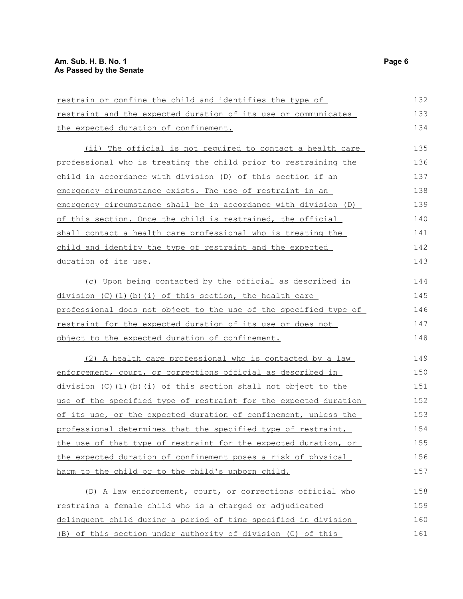### **Am. Sub. H. B. No. 1** Page 6 **As Passed by the Senate**

| restrain or confine the child and identifies the type of         | 132 |
|------------------------------------------------------------------|-----|
| restraint and the expected duration of its use or communicates   | 133 |
| the expected duration of confinement.                            | 134 |
| (ii) The official is not required to contact a health care       | 135 |
| professional who is treating the child prior to restraining the  | 136 |
| child in accordance with division (D) of this section if an      | 137 |
| emergency circumstance exists. The use of restraint in an        | 138 |
| emergency circumstance shall be in accordance with division (D)  | 139 |
| of this section. Once the child is restrained, the official      | 140 |
| shall contact a health care professional who is treating the     | 141 |
| child and identify the type of restraint and the expected        | 142 |
| duration of its use.                                             | 143 |
|                                                                  |     |
| (c) Upon being contacted by the official as described in         | 144 |
| $division (C) (1) (b) (i) of this section, the health care$      | 145 |
| professional does not object to the use of the specified type of | 146 |
| restraint for the expected duration of its use or does not       | 147 |
| object to the expected duration of confinement.                  | 148 |
| (2) A health care professional who is contacted by a law         | 149 |
| enforcement, court, or corrections official as described in      | 150 |
| division (C)(1)(b)(i) of this section shall not object to the    | 151 |
| use of the specified type of restraint for the expected duration | 152 |
| of its use, or the expected duration of confinement, unless the  | 153 |
| professional determines that the specified type of restraint,    | 154 |
| the use of that type of restraint for the expected duration, or  | 155 |
| the expected duration of confinement poses a risk of physical    | 156 |
| harm to the child or to the child's unborn child.                | 157 |
| (D) A law enforcement, court, or corrections official who        | 158 |
| restrains a female child who is a charged or adjudicated         | 159 |
| delinquent child during a period of time specified in division   | 160 |
| (B) of this section under authority of division (C) of this      | 161 |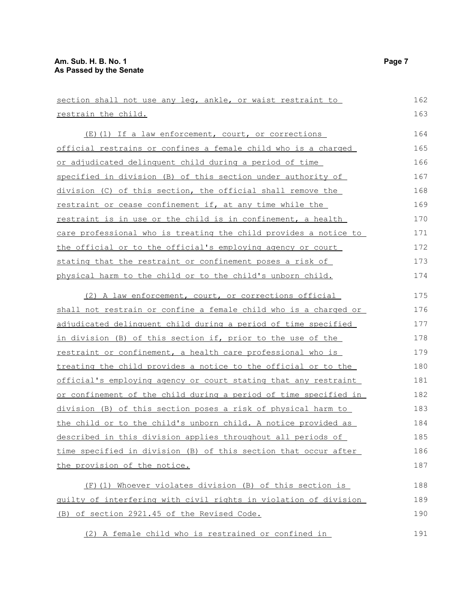| section shall not use any leg, ankle, or waist restraint to      | 162 |
|------------------------------------------------------------------|-----|
| restrain the child.                                              | 163 |
| (E)(1) If a law enforcement, court, or corrections               | 164 |
| official restrains or confines a female child who is a charged   | 165 |
| or adjudicated delinquent child during a period of time          | 166 |
| specified in division (B) of this section under authority of     | 167 |
| division (C) of this section, the official shall remove the      | 168 |
| restraint or cease confinement if, at any time while the         | 169 |
| restraint is in use or the child is in confinement, a health     | 170 |
| care professional who is treating the child provides a notice to | 171 |
| the official or to the official's employing agency or court      | 172 |
| stating that the restraint or confinement poses a risk of        | 173 |
| physical harm to the child or to the child's unborn child.       | 174 |
| (2) A law enforcement, court, or corrections official            | 175 |
| shall not restrain or confine a female child who is a charged or | 176 |
| adjudicated delinquent child during a period of time specified   | 177 |
| in division (B) of this section if, prior to the use of the      | 178 |
| restraint or confinement, a health care professional who is      | 179 |
| treating the child provides a notice to the official or to the   | 180 |
| official's employing agency or court stating that any restraint  | 181 |
| or confinement of the child during a period of time specified in | 182 |
| division (B) of this section poses a risk of physical harm to    | 183 |
| the child or to the child's unborn child. A notice provided as   | 184 |
| described in this division applies throughout all periods of     | 185 |
| time specified in division (B) of this section that occur after  | 186 |
| the provision of the notice.                                     | 187 |
| (F) (1) Whoever violates division (B) of this section is         | 188 |
| guilty of interfering with civil rights in violation of division | 189 |
| (B) of section 2921.45 of the Revised Code.                      | 190 |
| (2) A female child who is restrained or confined in              | 191 |

(2) A female child who is restrained or confined in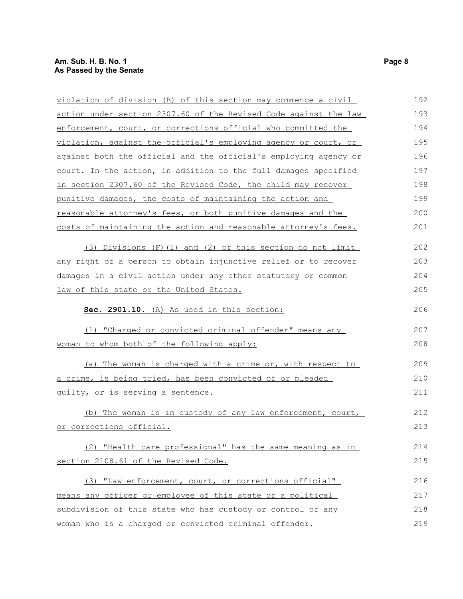| violation of division (B) of this section may commence a civil   | 192 |
|------------------------------------------------------------------|-----|
| action under section 2307.60 of the Revised Code against the law | 193 |
| enforcement, court, or corrections official who committed the    | 194 |
| violation, against the official's employing agency or court, or  | 195 |
| against both the official and the official's employing agency or | 196 |
| court. In the action, in addition to the full damages specified  | 197 |
| in section 2307.60 of the Revised Code, the child may recover    | 198 |
| punitive damages, the costs of maintaining the action and        | 199 |
| reasonable attorney's fees, or both punitive damages and the     | 200 |
| costs of maintaining the action and reasonable attorney's fees.  | 201 |
| (3) Divisions (F)(1) and (2) of this section do not limit        | 202 |
| any right of a person to obtain injunctive relief or to recover  | 203 |
| damages in a civil action under any other statutory or common    | 204 |
| law of this state or the United States.                          | 205 |
| Sec. 2901.10. (A) As used in this section:                       | 206 |
| (1) "Charged or convicted criminal offender" means any           | 207 |
| woman to whom both of the following apply:                       | 208 |
| (a) The woman is charged with a crime or, with respect to        | 209 |
| a crime, is being tried, has been convicted of or pleaded        | 210 |
| quilty, or is serving a sentence.                                | 211 |
| (b) The woman is in custody of any law enforcement, court,       | 212 |
| or corrections official.                                         | 213 |
| (2) "Health care professional" has the same meaning as in        | 214 |
| section 2108.61 of the Revised Code.                             | 215 |
| (3) "Law enforcement, court, or corrections official"            | 216 |
| means any officer or employee of this state or a political       | 217 |
| subdivision of this state who has custody or control of any      | 218 |
| woman who is a charged or convicted criminal offender.           | 219 |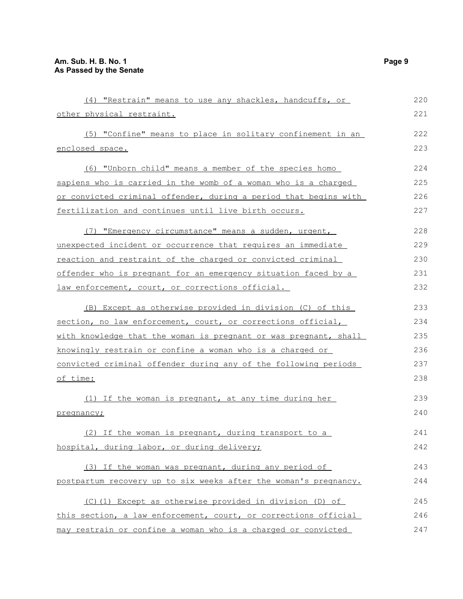| (4) "Restrain" means to use any shackles, handcuffs, or          | 220 |
|------------------------------------------------------------------|-----|
| other physical restraint.                                        | 221 |
| (5) "Confine" means to place in solitary confinement in an       | 222 |
| enclosed space.                                                  | 223 |
| (6) "Unborn child" means a member of the species homo            | 224 |
| sapiens who is carried in the womb of a woman who is a charged   | 225 |
| or convicted criminal offender, during a period that begins with | 226 |
| fertilization and continues until live birth occurs.             | 227 |
| (7) "Emergency circumstance" means a sudden, urgent,             | 228 |
| unexpected incident or occurrence that requires an immediate     | 229 |
| reaction and restraint of the charged or convicted criminal      | 230 |
| offender who is pregnant for an emergency situation faced by a   | 231 |
| law enforcement, court, or corrections official.                 | 232 |
| (B) Except as otherwise provided in division (C) of this         | 233 |
| section, no law enforcement, court, or corrections official,     | 234 |
| with knowledge that the woman is pregnant or was pregnant, shall | 235 |
| knowingly restrain or confine a woman who is a charged or        | 236 |
| convicted criminal offender during any of the following periods  | 237 |
| of time:                                                         | 238 |
| (1) If the woman is pregnant, at any time during her             | 239 |
| pregnancy;                                                       | 240 |
| (2) If the woman is pregnant, during transport to a              | 241 |
| hospital, during labor, or during delivery;                      | 242 |
| (3) If the woman was pregnant, during any period of              | 243 |
| postpartum recovery up to six weeks after the woman's pregnancy. | 244 |
| (C)(1) Except as otherwise provided in division (D) of           | 245 |
| this section, a law enforcement, court, or corrections official  | 246 |
| may restrain or confine a woman who is a charged or convicted    | 247 |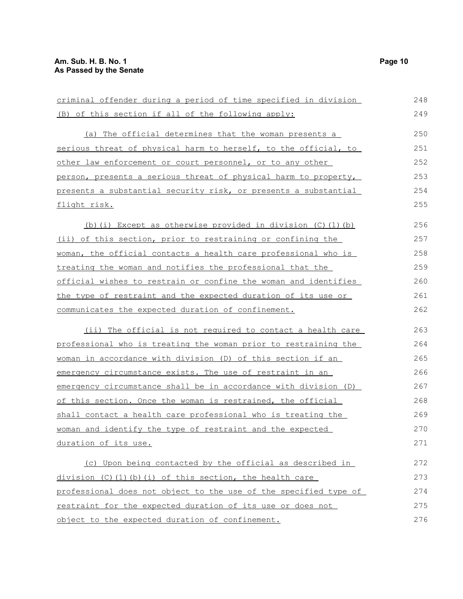| criminal offender during a period of time specified in division  | 248 |
|------------------------------------------------------------------|-----|
| (B) of this section if all of the following apply:               | 249 |
| (a) The official determines that the woman presents a            | 250 |
| serious threat of physical harm to herself, to the official, to  | 251 |
| other law enforcement or court personnel, or to any other        | 252 |
| person, presents a serious threat of physical harm to property,  | 253 |
| presents a substantial security risk, or presents a substantial  | 254 |
| flight risk.                                                     | 255 |
| (b) (i) Except as otherwise provided in division (C) (1) (b)     | 256 |
| (ii) of this section, prior to restraining or confining the      | 257 |
| woman, the official contacts a health care professional who is   | 258 |
| treating the woman and notifies the professional that the        | 259 |
| official wishes to restrain or confine the woman and identifies  | 260 |
| the type of restraint and the expected duration of its use or    | 261 |
| communicates the expected duration of confinement.               | 262 |
| (ii) The official is not required to contact a health care       | 263 |
| professional who is treating the woman prior to restraining the  | 264 |
| woman in accordance with division (D) of this section if an      | 265 |
| emergency circumstance exists. The use of restraint in an        | 266 |
| emergency circumstance shall be in accordance with division (D)  | 267 |
| of this section. Once the woman is restrained, the official      | 268 |
| shall contact a health care professional who is treating the     | 269 |
| woman and identify the type of restraint and the expected        | 270 |
| duration of its use.                                             | 271 |
| (c) Upon being contacted by the official as described in         | 272 |
| $division (C) (1) (b) (i) of this section, the health care$      | 273 |
| professional does not object to the use of the specified type of | 274 |
| restraint for the expected duration of its use or does not       | 275 |
| object to the expected duration of confinement.                  | 276 |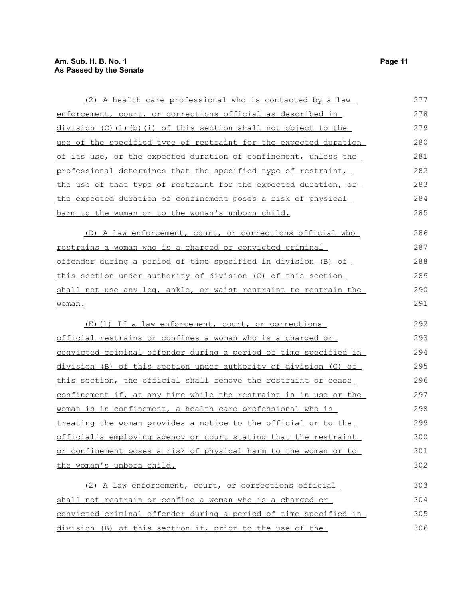| (2) A health care professional who is contacted by a law           | 277 |
|--------------------------------------------------------------------|-----|
| enforcement, court, or corrections official as described in        | 278 |
| division $(C)$ (1) (b) (i) of this section shall not object to the | 279 |
| use of the specified type of restraint for the expected duration   | 280 |
| of its use, or the expected duration of confinement, unless the    | 281 |
| professional determines that the specified type of restraint,      | 282 |
| the use of that type of restraint for the expected duration, or    | 283 |
| the expected duration of confinement poses a risk of physical      | 284 |
| harm to the woman or to the woman's unborn child.                  | 285 |
| (D) A law enforcement, court, or corrections official who          | 286 |
| restrains a woman who is a charged or convicted criminal           | 287 |
| offender during a period of time specified in division (B) of      | 288 |
| this section under authority of division (C) of this section       | 289 |
| shall not use any leg, ankle, or waist restraint to restrain the   | 290 |
| woman.                                                             | 291 |
| (E)(1) If a law enforcement, court, or corrections                 | 292 |
| official restrains or confines a woman who is a charged or         | 293 |
| convicted criminal offender during a period of time specified in   | 294 |
| division (B) of this section under authority of division (C) of    | 295 |
| this section, the official shall remove the restraint or cease     | 296 |
| confinement if, at any time while the restraint is in use or the   | 297 |
| woman is in confinement, a health care professional who is         | 298 |
| treating the woman provides a notice to the official or to the     | 299 |
| official's employing agency or court stating that the restraint    | 300 |
| or confinement poses a risk of physical harm to the woman or to    | 301 |
|                                                                    |     |
| the woman's unborn child.                                          | 302 |
| (2) A law enforcement, court, or corrections official              | 303 |
| shall not restrain or confine a woman who is a charged or          | 304 |
| convicted criminal offender during a period of time specified in   | 305 |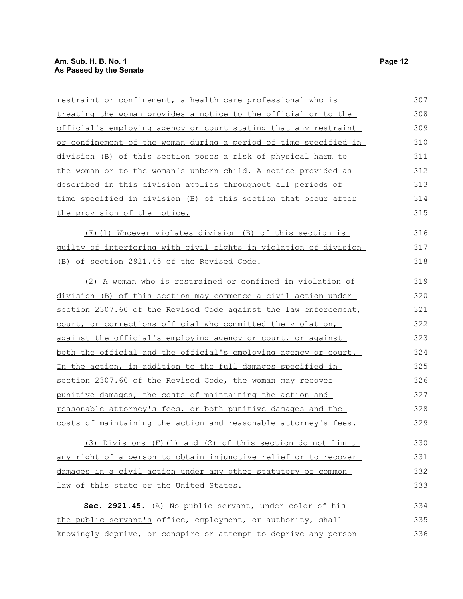| restraint or confinement, a health care professional who is           | 307 |
|-----------------------------------------------------------------------|-----|
| treating the woman provides a notice to the official or to the        | 308 |
| official's employing agency or court stating that any restraint       | 309 |
| or confinement of the woman during a period of time specified in      | 310 |
| division (B) of this section poses a risk of physical harm to         | 311 |
| the woman or to the woman's unborn child. A notice provided as        | 312 |
| described in this division applies throughout all periods of          | 313 |
| time specified in division (B) of this section that occur after       | 314 |
| the provision of the notice.                                          | 315 |
| (F)(1) Whoever violates division (B) of this section is               | 316 |
| guilty of interfering with civil rights in violation of division      | 317 |
| (B) of section 2921.45 of the Revised Code.                           | 318 |
| (2) A woman who is restrained or confined in violation of             | 319 |
| <u>division (B) of this section may commence a civil action under</u> | 320 |
| section 2307.60 of the Revised Code against the law enforcement,      | 321 |
| <u>court, or corrections official who committed the violation,</u>    | 322 |
| against the official's employing agency or court, or against          | 323 |
| both the official and the official's employing agency or court.       | 324 |
| In the action, in addition to the full damages specified in           | 325 |
| section 2307.60 of the Revised Code, the woman may recover            | 326 |
| punitive damages, the costs of maintaining the action and             | 327 |
| reasonable attorney's fees, or both punitive damages and the          | 328 |
| costs of maintaining the action and reasonable attorney's fees.       | 329 |
| (3) Divisions (F) (1) and (2) of this section do not limit            | 330 |
| any right of a person to obtain injunctive relief or to recover       | 331 |
| damages in a civil action under any other statutory or common         | 332 |
| law of this state or the United States.                               | 333 |
| Sec. 2921.45. (A) No public servant, under color of-his-              | 334 |
| the public servant's office, employment, or authority, shall          | 335 |
| knowingly deprive, or conspire or attempt to deprive any person       | 336 |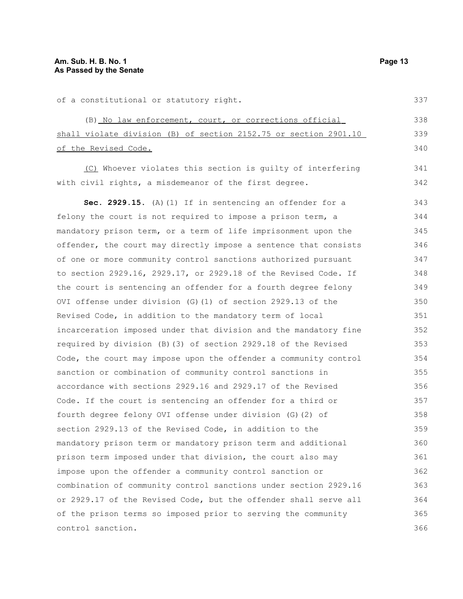of a constitutional or statutory right.

| (B) No law enforcement, court, or corrections official           | 338 |
|------------------------------------------------------------------|-----|
| shall violate division (B) of section 2152.75 or section 2901.10 | 339 |
| of the Revised Code.                                             | 340 |

(C) Whoever violates this section is guilty of interfering with civil rights, a misdemeanor of the first degree.

**Sec. 2929.15.** (A)(1) If in sentencing an offender for a felony the court is not required to impose a prison term, a mandatory prison term, or a term of life imprisonment upon the offender, the court may directly impose a sentence that consists of one or more community control sanctions authorized pursuant to section 2929.16, 2929.17, or 2929.18 of the Revised Code. If the court is sentencing an offender for a fourth degree felony OVI offense under division (G)(1) of section 2929.13 of the Revised Code, in addition to the mandatory term of local incarceration imposed under that division and the mandatory fine required by division (B)(3) of section 2929.18 of the Revised Code, the court may impose upon the offender a community control sanction or combination of community control sanctions in accordance with sections 2929.16 and 2929.17 of the Revised Code. If the court is sentencing an offender for a third or fourth degree felony OVI offense under division (G)(2) of section 2929.13 of the Revised Code, in addition to the mandatory prison term or mandatory prison term and additional prison term imposed under that division, the court also may impose upon the offender a community control sanction or combination of community control sanctions under section 2929.16 or 2929.17 of the Revised Code, but the offender shall serve all of the prison terms so imposed prior to serving the community control sanction. 343 344 345 346 347 348 349 350 351 352 353 354 355 356 357 358 359 360 361 362 363 364 365 366

337

341 342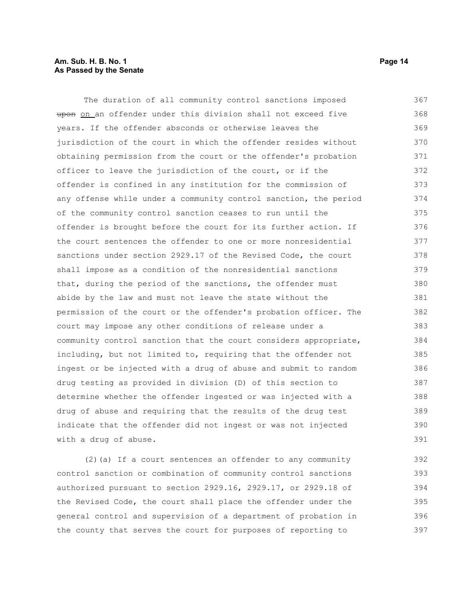#### **Am. Sub. H. B. No. 1 Page 14 As Passed by the Senate**

The duration of all community control sanctions imposed upon on an offender under this division shall not exceed five years. If the offender absconds or otherwise leaves the jurisdiction of the court in which the offender resides without obtaining permission from the court or the offender's probation officer to leave the jurisdiction of the court, or if the offender is confined in any institution for the commission of any offense while under a community control sanction, the period of the community control sanction ceases to run until the offender is brought before the court for its further action. If the court sentences the offender to one or more nonresidential sanctions under section 2929.17 of the Revised Code, the court shall impose as a condition of the nonresidential sanctions that, during the period of the sanctions, the offender must abide by the law and must not leave the state without the permission of the court or the offender's probation officer. The court may impose any other conditions of release under a community control sanction that the court considers appropriate, including, but not limited to, requiring that the offender not ingest or be injected with a drug of abuse and submit to random drug testing as provided in division (D) of this section to determine whether the offender ingested or was injected with a drug of abuse and requiring that the results of the drug test indicate that the offender did not ingest or was not injected with a drug of abuse. 367 368 369 370 371 372 373 374 375 376 377 378 379 380 381 382 383 384 385 386 387 388 389 390 391

(2)(a) If a court sentences an offender to any community control sanction or combination of community control sanctions authorized pursuant to section 2929.16, 2929.17, or 2929.18 of the Revised Code, the court shall place the offender under the general control and supervision of a department of probation in the county that serves the court for purposes of reporting to 392 393 394 395 396 397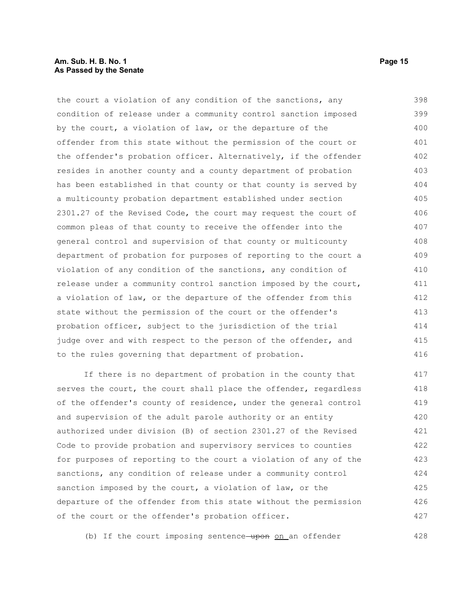#### **Am. Sub. H. B. No. 1 Page 15 As Passed by the Senate**

the court a violation of any condition of the sanctions, any condition of release under a community control sanction imposed by the court, a violation of law, or the departure of the offender from this state without the permission of the court or the offender's probation officer. Alternatively, if the offender resides in another county and a county department of probation has been established in that county or that county is served by a multicounty probation department established under section 2301.27 of the Revised Code, the court may request the court of common pleas of that county to receive the offender into the general control and supervision of that county or multicounty department of probation for purposes of reporting to the court a violation of any condition of the sanctions, any condition of release under a community control sanction imposed by the court, a violation of law, or the departure of the offender from this state without the permission of the court or the offender's probation officer, subject to the jurisdiction of the trial judge over and with respect to the person of the offender, and to the rules governing that department of probation. 398 399 400 401 402 403 404 405 406 407 408 409 410 411 412 413 414 415 416

If there is no department of probation in the county that serves the court, the court shall place the offender, regardless of the offender's county of residence, under the general control and supervision of the adult parole authority or an entity authorized under division (B) of section 2301.27 of the Revised Code to provide probation and supervisory services to counties for purposes of reporting to the court a violation of any of the sanctions, any condition of release under a community control sanction imposed by the court, a violation of law, or the departure of the offender from this state without the permission of the court or the offender's probation officer. 417 418 419 420 421 422 423 424 425 426 427

(b) If the court imposing sentence—upon on an offender

428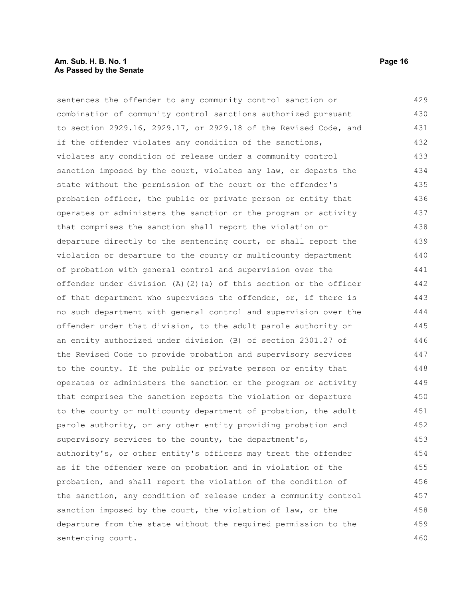#### **Am. Sub. H. B. No. 1 Page 16 As Passed by the Senate**

sentences the offender to any community control sanction or combination of community control sanctions authorized pursuant

to section 2929.16, 2929.17, or 2929.18 of the Revised Code, and if the offender violates any condition of the sanctions, violates any condition of release under a community control sanction imposed by the court, violates any law, or departs the state without the permission of the court or the offender's probation officer, the public or private person or entity that operates or administers the sanction or the program or activity that comprises the sanction shall report the violation or departure directly to the sentencing court, or shall report the violation or departure to the county or multicounty department of probation with general control and supervision over the offender under division (A)(2)(a) of this section or the officer of that department who supervises the offender, or, if there is no such department with general control and supervision over the offender under that division, to the adult parole authority or an entity authorized under division (B) of section 2301.27 of the Revised Code to provide probation and supervisory services to the county. If the public or private person or entity that operates or administers the sanction or the program or activity that comprises the sanction reports the violation or departure to the county or multicounty department of probation, the adult parole authority, or any other entity providing probation and supervisory services to the county, the department's, authority's, or other entity's officers may treat the offender as if the offender were on probation and in violation of the probation, and shall report the violation of the condition of the sanction, any condition of release under a community control sanction imposed by the court, the violation of law, or the departure from the state without the required permission to the sentencing court. 431 432 433 434 435 436 437 438 439 440 441 442 443 444 445 446 447 448 449 450 451 452 453 454 455 456 457 458 459 460

429 430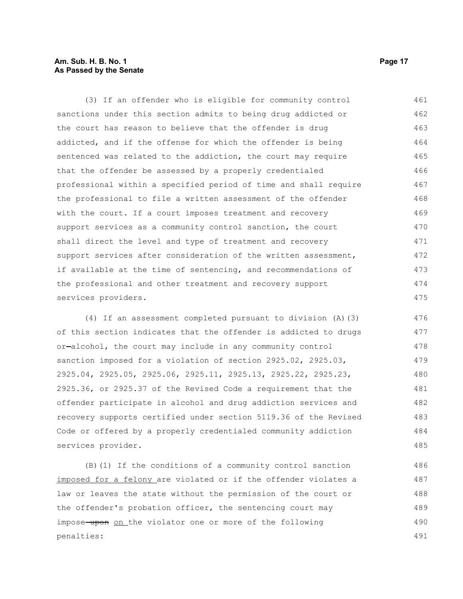#### **Am. Sub. H. B. No. 1 Page 17 As Passed by the Senate**

(3) If an offender who is eligible for community control sanctions under this section admits to being drug addicted or the court has reason to believe that the offender is drug addicted, and if the offense for which the offender is being sentenced was related to the addiction, the court may require that the offender be assessed by a properly credentialed professional within a specified period of time and shall require the professional to file a written assessment of the offender with the court. If a court imposes treatment and recovery support services as a community control sanction, the court shall direct the level and type of treatment and recovery support services after consideration of the written assessment, if available at the time of sentencing, and recommendations of the professional and other treatment and recovery support services providers. 461 462 463 464 465 466 467 468 469 470 471 472 473 474 475

(4) If an assessment completed pursuant to division (A)(3) of this section indicates that the offender is addicted to drugs or alcohol, the court may include in any community control sanction imposed for a violation of section 2925.02, 2925.03, 2925.04, 2925.05, 2925.06, 2925.11, 2925.13, 2925.22, 2925.23, 2925.36, or 2925.37 of the Revised Code a requirement that the offender participate in alcohol and drug addiction services and recovery supports certified under section 5119.36 of the Revised Code or offered by a properly credentialed community addiction services provider. 476 477 478 479 480 481 482 483 484 485

(B)(1) If the conditions of a community control sanction imposed for a felony are violated or if the offender violates a law or leaves the state without the permission of the court or the offender's probation officer, the sentencing court may impose upon on the violator one or more of the following penalties: 486 487 488 489 490 491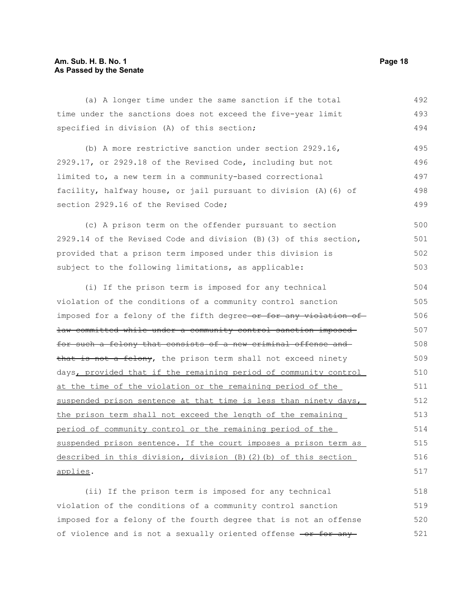#### **Am. Sub. H. B. No. 1 Page 18 As Passed by the Senate**

(a) A longer time under the same sanction if the total time under the sanctions does not exceed the five-year limit specified in division (A) of this section; 492 493 494

(b) A more restrictive sanction under section 2929.16, 2929.17, or 2929.18 of the Revised Code, including but not limited to, a new term in a community-based correctional facility, halfway house, or jail pursuant to division (A)(6) of section 2929.16 of the Revised Code: 495 496 497 498 499

(c) A prison term on the offender pursuant to section 2929.14 of the Revised Code and division (B)(3) of this section, provided that a prison term imposed under this division is subject to the following limitations, as applicable: 500 501 502 503

(i) If the prison term is imposed for any technical violation of the conditions of a community control sanction imposed for a felony of the fifth degree-or for any violation of law committed while under a community control sanction imposed for such a felony that consists of a new criminal offense and that is not a felony, the prison term shall not exceed ninety days, provided that if the remaining period of community control at the time of the violation or the remaining period of the suspended prison sentence at that time is less than ninety days, the prison term shall not exceed the length of the remaining period of community control or the remaining period of the suspended prison sentence. If the court imposes a prison term as described in this division, division (B)(2)(b) of this section applies. 504 505 506 507 508 509 510 511 512 513 514 515 516 517

(ii) If the prison term is imposed for any technical violation of the conditions of a community control sanction imposed for a felony of the fourth degree that is not an offense of violence and is not a sexually oriented offense -or for any 518 519 520 521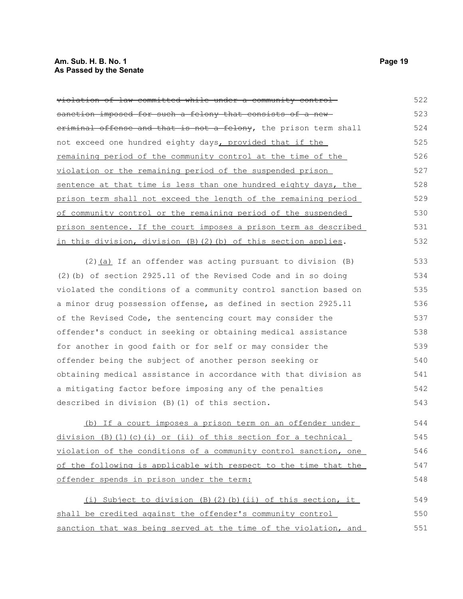violation of law committed while under a community control sanction imposed for such a felony that consists of a neweriminal offense and that is not a felony, the prison term shall not exceed one hundred eighty days, provided that if the remaining period of the community control at the time of the violation or the remaining period of the suspended prison sentence at that time is less than one hundred eighty days, the prison term shall not exceed the length of the remaining period of community control or the remaining period of the suspended prison sentence. If the court imposes a prison term as described in this division, division (B)(2)(b) of this section applies. (2)(a) If an offender was acting pursuant to division (B) 522 523 524 525 526 527 528 529 530 531 532 533

(2)(b) of section 2925.11 of the Revised Code and in so doing violated the conditions of a community control sanction based on a minor drug possession offense, as defined in section 2925.11 of the Revised Code, the sentencing court may consider the offender's conduct in seeking or obtaining medical assistance for another in good faith or for self or may consider the offender being the subject of another person seeking or obtaining medical assistance in accordance with that division as a mitigating factor before imposing any of the penalties described in division (B)(1) of this section. 534 535 536 537 538 539 540 541 542 543

(b) If a court imposes a prison term on an offender under division (B)(1)(c)(i) or (ii) of this section for a technical violation of the conditions of a community control sanction, one of the following is applicable with respect to the time that the offender spends in prison under the term: 544 545 546 547 548

(i) Subject to division (B)(2)(b)(ii) of this section, it shall be credited against the offender's community control sanction that was being served at the time of the violation, and 549 550 551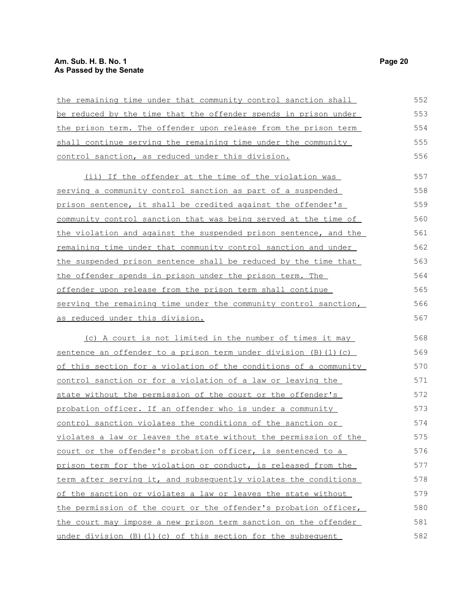### **Am. Sub. H. B. No. 1 Page 20 As Passed by the Senate**

| the remaining time under that community control sanction shall         | 552 |
|------------------------------------------------------------------------|-----|
| be reduced by the time that the offender spends in prison under        | 553 |
| the prison term. The offender upon release from the prison term        | 554 |
| shall continue serving the remaining time under the community          | 555 |
| control sanction, as reduced under this division.                      | 556 |
| (ii) If the offender at the time of the violation was                  | 557 |
| serving a community control sanction as part of a suspended            | 558 |
| prison sentence, it shall be credited against the offender's           | 559 |
| community control sanction that was being served at the time of        | 560 |
| the violation and against the suspended prison sentence, and the       | 561 |
| remaining time under that community control sanction and under         | 562 |
| the suspended prison sentence shall be reduced by the time that        | 563 |
| the offender spends in prison under the prison term. The               | 564 |
| offender upon release from the prison term shall continue              | 565 |
| serving the remaining time under the community control sanction,       | 566 |
| as reduced under this division.                                        | 567 |
| (c) A court is not limited in the number of times it may               | 568 |
| sentence an offender to a prison term under division $(B)$ $(1)$ $(c)$ | 569 |
| of this section for a violation of the conditions of a community       | 570 |
| <u>control sanction or for a violation of a law or leaving the</u>     | 571 |
| state without the permission of the court or the offender's            | 572 |
| probation officer. If an offender who is under a community             | 573 |
| control sanction violates the conditions of the sanction or            | 574 |
| violates a law or leaves the state without the permission of the       | 575 |
| court or the offender's probation officer, is sentenced to a           | 576 |
| prison term for the violation or conduct, is released from the         | 577 |
| term after serving it, and subsequently violates the conditions        | 578 |
| of the sanction or violates a law or leaves the state without          | 579 |
| the permission of the court or the offender's probation officer,       | 580 |
| the court may impose a new prison term sanction on the offender        | 581 |
| under division (B) (1) (c) of this section for the subsequent          | 582 |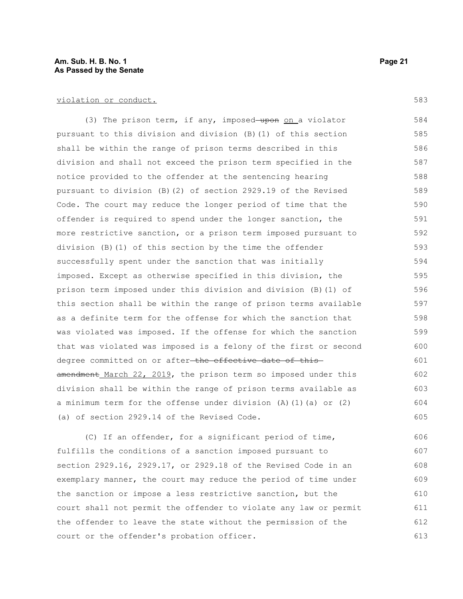583

#### violation or conduct.

(3) The prison term, if any, imposed–upon on a violator pursuant to this division and division (B)(1) of this section shall be within the range of prison terms described in this division and shall not exceed the prison term specified in the notice provided to the offender at the sentencing hearing pursuant to division (B)(2) of section 2929.19 of the Revised Code. The court may reduce the longer period of time that the offender is required to spend under the longer sanction, the more restrictive sanction, or a prison term imposed pursuant to division (B)(1) of this section by the time the offender successfully spent under the sanction that was initially imposed. Except as otherwise specified in this division, the prison term imposed under this division and division (B)(1) of this section shall be within the range of prison terms available as a definite term for the offense for which the sanction that was violated was imposed. If the offense for which the sanction that was violated was imposed is a felony of the first or second degree committed on or after the effective date of this amendment March 22, 2019, the prison term so imposed under this division shall be within the range of prison terms available as a minimum term for the offense under division (A)(1)(a) or (2) (a) of section 2929.14 of the Revised Code. 584 585 586 587 588 589 590 591 592 593 594 595 596 597 598 599 600 601 602 603 604 605

(C) If an offender, for a significant period of time, fulfills the conditions of a sanction imposed pursuant to section 2929.16, 2929.17, or 2929.18 of the Revised Code in an exemplary manner, the court may reduce the period of time under the sanction or impose a less restrictive sanction, but the court shall not permit the offender to violate any law or permit the offender to leave the state without the permission of the court or the offender's probation officer. 606 607 608 609 610 611 612 613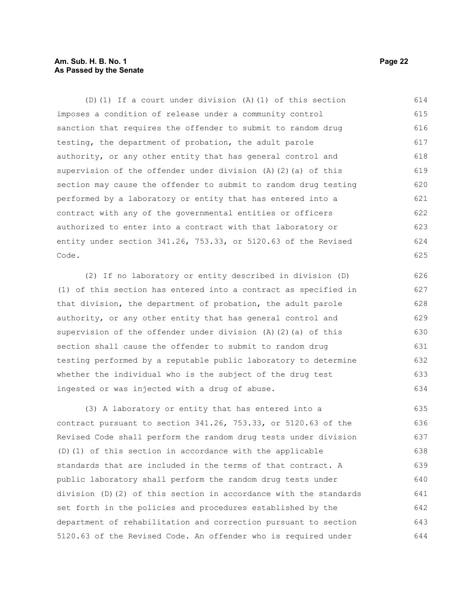#### **Am. Sub. H. B. No. 1 Page 22 As Passed by the Senate**

(D)(1) If a court under division (A)(1) of this section imposes a condition of release under a community control sanction that requires the offender to submit to random drug testing, the department of probation, the adult parole authority, or any other entity that has general control and supervision of the offender under division  $(A)$   $(2)$   $(a)$  of this section may cause the offender to submit to random drug testing performed by a laboratory or entity that has entered into a contract with any of the governmental entities or officers authorized to enter into a contract with that laboratory or entity under section 341.26, 753.33, or 5120.63 of the Revised Code. 614 615 616 617 618 619 620 621 622 623 624 625

(2) If no laboratory or entity described in division (D) (1) of this section has entered into a contract as specified in that division, the department of probation, the adult parole authority, or any other entity that has general control and supervision of the offender under division (A)(2)(a) of this section shall cause the offender to submit to random drug testing performed by a reputable public laboratory to determine whether the individual who is the subject of the drug test ingested or was injected with a drug of abuse. 626 627 628 629 630 631 632 633 634

(3) A laboratory or entity that has entered into a contract pursuant to section 341.26, 753.33, or 5120.63 of the Revised Code shall perform the random drug tests under division (D)(1) of this section in accordance with the applicable standards that are included in the terms of that contract. A public laboratory shall perform the random drug tests under division (D)(2) of this section in accordance with the standards set forth in the policies and procedures established by the department of rehabilitation and correction pursuant to section 5120.63 of the Revised Code. An offender who is required under 635 636 637 638 639 640 641 642 643 644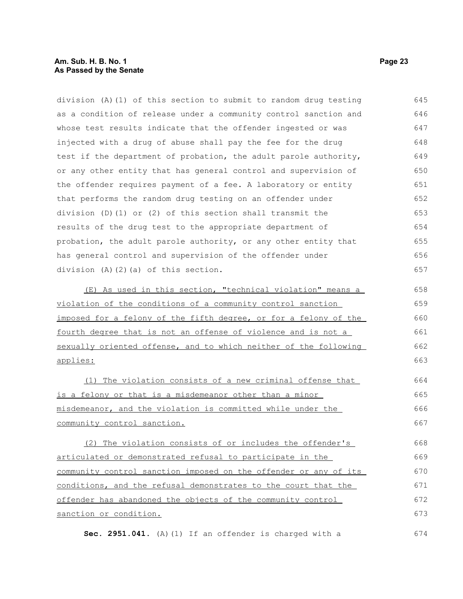### **Am. Sub. H. B. No. 1 Page 23 As Passed by the Senate**

| division (A)(1) of this section to submit to random drug testing | 645 |
|------------------------------------------------------------------|-----|
| as a condition of release under a community control sanction and | 646 |
| whose test results indicate that the offender ingested or was    | 647 |
| injected with a drug of abuse shall pay the fee for the drug     | 648 |
| test if the department of probation, the adult parole authority, | 649 |
| or any other entity that has general control and supervision of  | 650 |
| the offender requires payment of a fee. A laboratory or entity   | 651 |
| that performs the random drug testing on an offender under       | 652 |
| division $(D)$ (1) or (2) of this section shall transmit the     | 653 |
| results of the drug test to the appropriate department of        | 654 |
| probation, the adult parole authority, or any other entity that  | 655 |
| has general control and supervision of the offender under        | 656 |
| division (A)(2)(a) of this section.                              | 657 |
| (E) As used in this section, "technical violation" means a       | 658 |
| violation of the conditions of a community control sanction      | 659 |
| imposed for a felony of the fifth degree, or for a felony of the | 660 |
| fourth degree that is not an offense of violence and is not a    | 661 |
| sexually oriented offense, and to which neither of the following | 662 |
| applies:                                                         | 663 |
| (1) The violation consists of a new criminal offense that        | 664 |
| is a felony or that is a misdemeanor other than a minor          | 665 |
| misdemeanor, and the violation is committed while under the      | 666 |
| community control sanction.                                      | 667 |
| (2) The violation consists of or includes the offender's         | 668 |
| articulated or demonstrated refusal to participate in the        | 669 |
| community control sanction imposed on the offender or any of its | 670 |
| conditions, and the refusal demonstrates to the court that the   | 671 |
| offender has abandoned the objects of the community control      | 672 |
| sanction or condition.                                           | 673 |
| Sec. 2951.041. (A) (1) If an offender is charged with a          | 674 |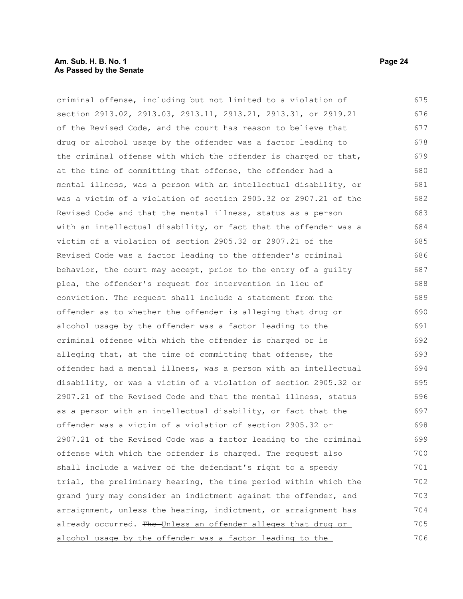#### **Am. Sub. H. B. No. 1 Page 24 As Passed by the Senate**

criminal offense, including but not limited to a violation of section 2913.02, 2913.03, 2913.11, 2913.21, 2913.31, or 2919.21 of the Revised Code, and the court has reason to believe that drug or alcohol usage by the offender was a factor leading to the criminal offense with which the offender is charged or that, at the time of committing that offense, the offender had a mental illness, was a person with an intellectual disability, or was a victim of a violation of section 2905.32 or 2907.21 of the Revised Code and that the mental illness, status as a person with an intellectual disability, or fact that the offender was a victim of a violation of section 2905.32 or 2907.21 of the Revised Code was a factor leading to the offender's criminal behavior, the court may accept, prior to the entry of a guilty plea, the offender's request for intervention in lieu of conviction. The request shall include a statement from the offender as to whether the offender is alleging that drug or alcohol usage by the offender was a factor leading to the criminal offense with which the offender is charged or is alleging that, at the time of committing that offense, the offender had a mental illness, was a person with an intellectual disability, or was a victim of a violation of section 2905.32 or 2907.21 of the Revised Code and that the mental illness, status as a person with an intellectual disability, or fact that the offender was a victim of a violation of section 2905.32 or 2907.21 of the Revised Code was a factor leading to the criminal offense with which the offender is charged. The request also shall include a waiver of the defendant's right to a speedy trial, the preliminary hearing, the time period within which the grand jury may consider an indictment against the offender, and arraignment, unless the hearing, indictment, or arraignment has already occurred. The Unless an offender alleges that drug or alcohol usage by the offender was a factor leading to the 675 676 677 678 679 680 681 682 683 684 685 686 687 688 689 690 691 692 693 694 695 696 697 698 699 700 701 702 703 704 705 706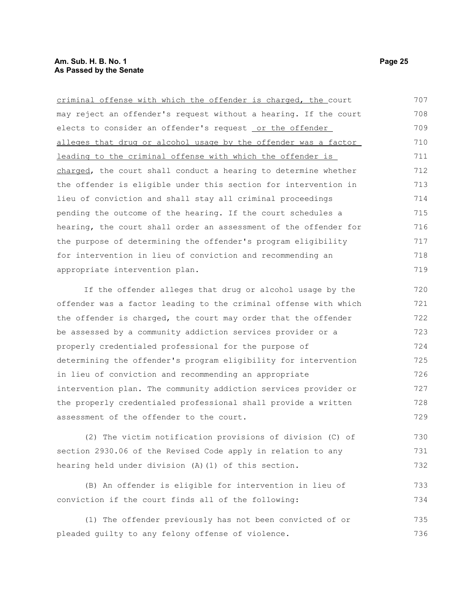| criminal offense with which the offender is charged, the court   | 707 |
|------------------------------------------------------------------|-----|
| may reject an offender's request without a hearing. If the court | 708 |
| elects to consider an offender's request or the offender         | 709 |
| alleges that drug or alcohol usage by the offender was a factor  | 710 |
| leading to the criminal offense with which the offender is       | 711 |
| charged, the court shall conduct a hearing to determine whether  | 712 |
| the offender is eligible under this section for intervention in  | 713 |
| lieu of conviction and shall stay all criminal proceedings       | 714 |
| pending the outcome of the hearing. If the court schedules a     | 715 |
| hearing, the court shall order an assessment of the offender for | 716 |
| the purpose of determining the offender's program eligibility    | 717 |
| for intervention in lieu of conviction and recommending an       | 718 |
| appropriate intervention plan.                                   | 719 |
|                                                                  |     |

If the offender alleges that drug or alcohol usage by the offender was a factor leading to the criminal offense with which the offender is charged, the court may order that the offender be assessed by a community addiction services provider or a properly credentialed professional for the purpose of determining the offender's program eligibility for intervention in lieu of conviction and recommending an appropriate intervention plan. The community addiction services provider or the properly credentialed professional shall provide a written assessment of the offender to the court. 720 721 722 723 724 725 726 727 728 729

(2) The victim notification provisions of division (C) of section 2930.06 of the Revised Code apply in relation to any hearing held under division (A)(1) of this section. 730 731 732

(B) An offender is eligible for intervention in lieu of conviction if the court finds all of the following: 733 734

(1) The offender previously has not been convicted of or pleaded guilty to any felony offense of violence. 735 736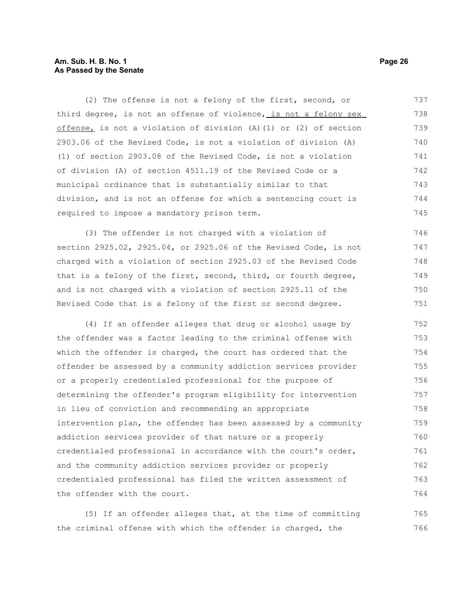#### **Am. Sub. H. B. No. 1 Page 26 As Passed by the Senate**

(2) The offense is not a felony of the first, second, or third degree, is not an offense of violence, is not a felony sex offense, is not a violation of division  $(A)$  (1) or (2) of section 2903.06 of the Revised Code, is not a violation of division (A) (1) of section 2903.08 of the Revised Code, is not a violation of division (A) of section 4511.19 of the Revised Code or a municipal ordinance that is substantially similar to that division, and is not an offense for which a sentencing court is required to impose a mandatory prison term. 737 738 739 740 741 742 743 744 745

(3) The offender is not charged with a violation of section 2925.02, 2925.04, or 2925.06 of the Revised Code, is not charged with a violation of section 2925.03 of the Revised Code that is a felony of the first, second, third, or fourth degree, and is not charged with a violation of section 2925.11 of the Revised Code that is a felony of the first or second degree. 746 747 748 749 750 751

(4) If an offender alleges that drug or alcohol usage by the offender was a factor leading to the criminal offense with which the offender is charged, the court has ordered that the offender be assessed by a community addiction services provider or a properly credentialed professional for the purpose of determining the offender's program eligibility for intervention in lieu of conviction and recommending an appropriate intervention plan, the offender has been assessed by a community addiction services provider of that nature or a properly credentialed professional in accordance with the court's order, and the community addiction services provider or properly credentialed professional has filed the written assessment of the offender with the court. 752 753 754 755 756 757 758 759 760 761 762 763 764

(5) If an offender alleges that, at the time of committing the criminal offense with which the offender is charged, the 765 766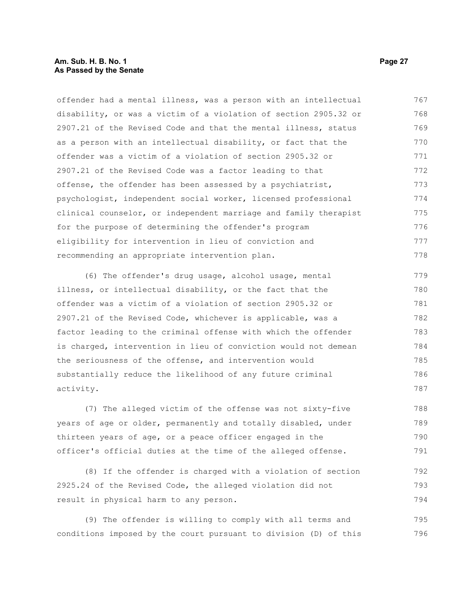#### **Am. Sub. H. B. No. 1 Page 27 As Passed by the Senate**

offender had a mental illness, was a person with an intellectual disability, or was a victim of a violation of section 2905.32 or 2907.21 of the Revised Code and that the mental illness, status as a person with an intellectual disability, or fact that the offender was a victim of a violation of section 2905.32 or 2907.21 of the Revised Code was a factor leading to that offense, the offender has been assessed by a psychiatrist, psychologist, independent social worker, licensed professional clinical counselor, or independent marriage and family therapist for the purpose of determining the offender's program eligibility for intervention in lieu of conviction and recommending an appropriate intervention plan. 767 768 769 770 771 772 773 774 775 776 777 778

(6) The offender's drug usage, alcohol usage, mental illness, or intellectual disability, or the fact that the offender was a victim of a violation of section 2905.32 or 2907.21 of the Revised Code, whichever is applicable, was a factor leading to the criminal offense with which the offender is charged, intervention in lieu of conviction would not demean the seriousness of the offense, and intervention would substantially reduce the likelihood of any future criminal activity. 779 780 781 782 783 784 785 786 787

(7) The alleged victim of the offense was not sixty-five years of age or older, permanently and totally disabled, under thirteen years of age, or a peace officer engaged in the officer's official duties at the time of the alleged offense. 788 789 790 791

(8) If the offender is charged with a violation of section 2925.24 of the Revised Code, the alleged violation did not result in physical harm to any person. 792 793 794

(9) The offender is willing to comply with all terms and conditions imposed by the court pursuant to division (D) of this 795 796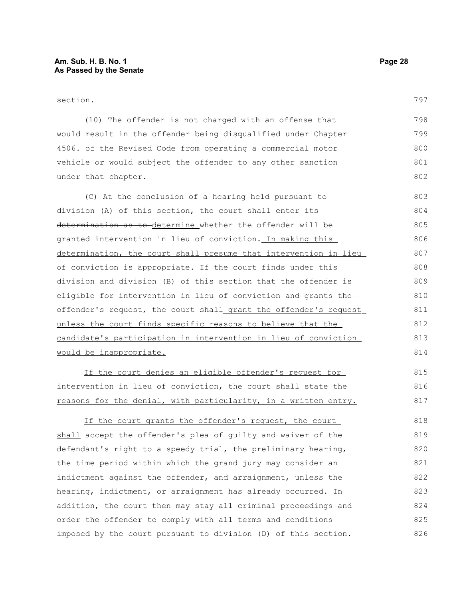#### section. (10) The offender is not charged with an offense that would result in the offender being disqualified under Chapter 4506. of the Revised Code from operating a commercial motor vehicle or would subject the offender to any other sanction under that chapter. (C) At the conclusion of a hearing held pursuant to division (A) of this section, the court shall enter itsdetermination as to-determine whether the offender will be granted intervention in lieu of conviction. In making this determination, the court shall presume that intervention in lieu of conviction is appropriate. If the court finds under this division and division (B) of this section that the offender is eligible for intervention in lieu of conviction-and grants theoffender's request, the court shall grant the offender's request unless the court finds specific reasons to believe that the candidate's participation in intervention in lieu of conviction would be inappropriate. If the court denies an eligible offender's request for intervention in lieu of conviction, the court shall state the reasons for the denial, with particularity, in a written entry. If the court grants the offender's request, the court shall accept the offender's plea of guilty and waiver of the defendant's right to a speedy trial, the preliminary hearing, 797 798 799 800 801 802 803 804 805 806 807 808 809 810 811 812 813 814 815 816 817 818 819 820

the time period within which the grand jury may consider an indictment against the offender, and arraignment, unless the hearing, indictment, or arraignment has already occurred. In addition, the court then may stay all criminal proceedings and order the offender to comply with all terms and conditions imposed by the court pursuant to division (D) of this section. 821 822 823 824 825 826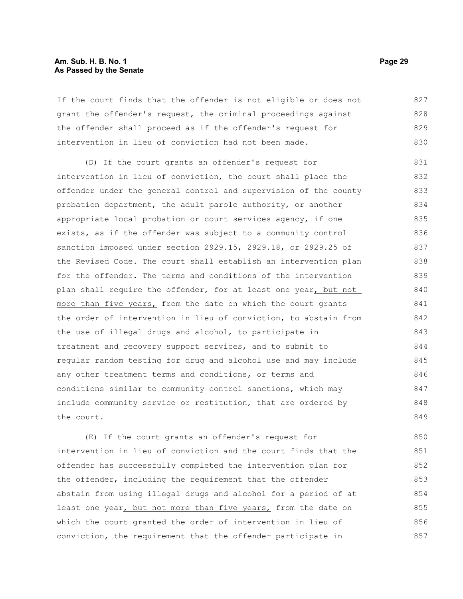#### **Am. Sub. H. B. No. 1 Page 29 As Passed by the Senate**

If the court finds that the offender is not eligible or does not grant the offender's request, the criminal proceedings against the offender shall proceed as if the offender's request for intervention in lieu of conviction had not been made. 827 828 829 830

(D) If the court grants an offender's request for intervention in lieu of conviction, the court shall place the offender under the general control and supervision of the county probation department, the adult parole authority, or another appropriate local probation or court services agency, if one exists, as if the offender was subject to a community control sanction imposed under section 2929.15, 2929.18, or 2929.25 of the Revised Code. The court shall establish an intervention plan for the offender. The terms and conditions of the intervention plan shall require the offender, for at least one year, but not more than five years, from the date on which the court grants the order of intervention in lieu of conviction, to abstain from the use of illegal drugs and alcohol, to participate in treatment and recovery support services, and to submit to regular random testing for drug and alcohol use and may include any other treatment terms and conditions, or terms and conditions similar to community control sanctions, which may include community service or restitution, that are ordered by the court. 831 832 833 834 835 836 837 838 839 840 841 842 843 844 845 846 847 848 849

(E) If the court grants an offender's request for intervention in lieu of conviction and the court finds that the offender has successfully completed the intervention plan for the offender, including the requirement that the offender abstain from using illegal drugs and alcohol for a period of at least one year, but not more than five years, from the date on which the court granted the order of intervention in lieu of conviction, the requirement that the offender participate in 850 851 852 853 854 855 856 857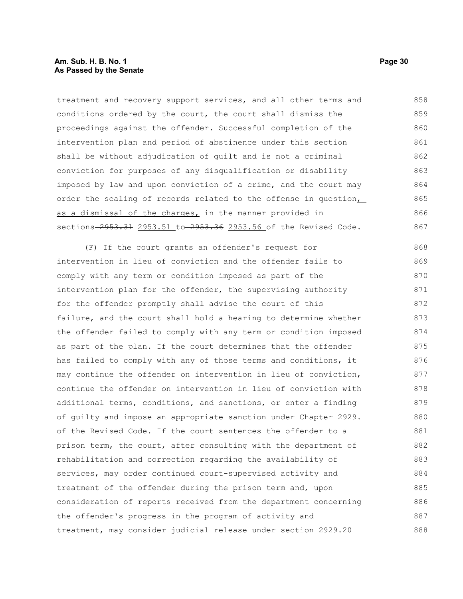treatment and recovery support services, and all other terms and conditions ordered by the court, the court shall dismiss the proceedings against the offender. Successful completion of the intervention plan and period of abstinence under this section shall be without adjudication of guilt and is not a criminal conviction for purposes of any disqualification or disability imposed by law and upon conviction of a crime, and the court may order the sealing of records related to the offense in question, as a dismissal of the charges, in the manner provided in sections 2953.31 2953.51 to 2953.36 2953.56 of the Revised Code. 858 859 860 861 862 863 864 865 866 867

(F) If the court grants an offender's request for intervention in lieu of conviction and the offender fails to comply with any term or condition imposed as part of the intervention plan for the offender, the supervising authority for the offender promptly shall advise the court of this failure, and the court shall hold a hearing to determine whether the offender failed to comply with any term or condition imposed as part of the plan. If the court determines that the offender has failed to comply with any of those terms and conditions, it may continue the offender on intervention in lieu of conviction, continue the offender on intervention in lieu of conviction with additional terms, conditions, and sanctions, or enter a finding of guilty and impose an appropriate sanction under Chapter 2929. of the Revised Code. If the court sentences the offender to a prison term, the court, after consulting with the department of rehabilitation and correction regarding the availability of services, may order continued court-supervised activity and treatment of the offender during the prison term and, upon consideration of reports received from the department concerning the offender's progress in the program of activity and treatment, may consider judicial release under section 2929.20 868 869 870 871 872 873 874 875 876 877 878 879 880 881 882 883 884 885 886 887 888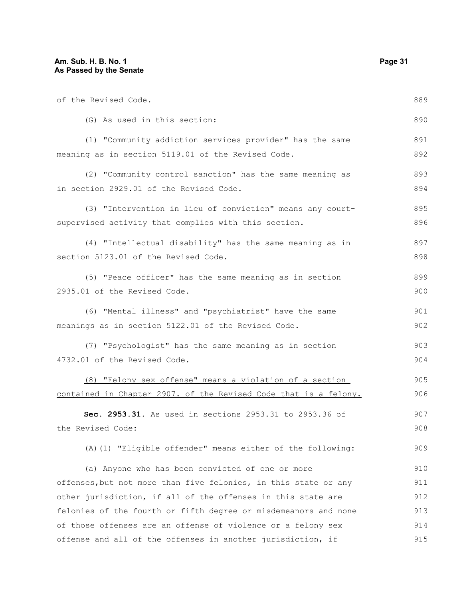| of the Revised Code.                                             | 889 |
|------------------------------------------------------------------|-----|
| (G) As used in this section:                                     | 890 |
| (1) "Community addiction services provider" has the same         | 891 |
| meaning as in section 5119.01 of the Revised Code.               | 892 |
| (2) "Community control sanction" has the same meaning as         | 893 |
| in section 2929.01 of the Revised Code.                          | 894 |
| (3) "Intervention in lieu of conviction" means any court-        | 895 |
| supervised activity that complies with this section.             | 896 |
| (4) "Intellectual disability" has the same meaning as in         | 897 |
| section 5123.01 of the Revised Code.                             | 898 |
| (5) "Peace officer" has the same meaning as in section           | 899 |
| 2935.01 of the Revised Code.                                     | 900 |
| (6) "Mental illness" and "psychiatrist" have the same            | 901 |
| meanings as in section 5122.01 of the Revised Code.              | 902 |
| (7) "Psychologist" has the same meaning as in section            | 903 |
| 4732.01 of the Revised Code.                                     | 904 |
| (8) "Felony sex offense" means a violation of a section          | 905 |
| contained in Chapter 2907. of the Revised Code that is a felony. | 906 |
| Sec. 2953.31. As used in sections 2953.31 to 2953.36 of          | 907 |
| the Revised Code:                                                | 908 |
| (A) (1) "Eligible offender" means either of the following:       | 909 |
| (a) Anyone who has been convicted of one or more                 | 910 |
| offenses, but not more than five felonies, in this state or any  | 911 |
| other jurisdiction, if all of the offenses in this state are     | 912 |
| felonies of the fourth or fifth degree or misdemeanors and none  | 913 |
| of those offenses are an offense of violence or a felony sex     | 914 |
| offense and all of the offenses in another jurisdiction, if      | 915 |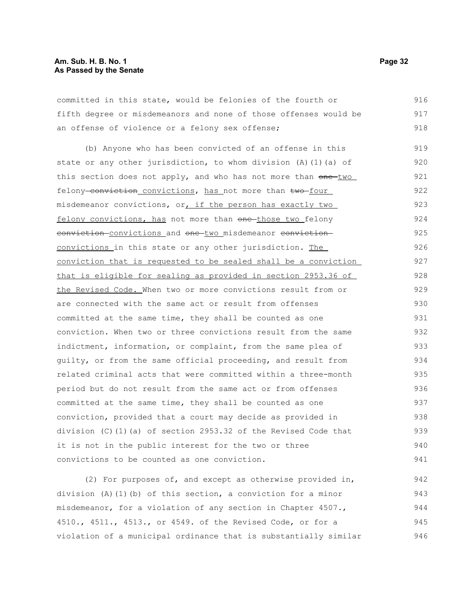#### **Am. Sub. H. B. No. 1 Page 32 As Passed by the Senate**

committed in this state, would be felonies of the fourth or fifth degree or misdemeanors and none of those offenses would be an offense of violence or a felony sex offense; 916 917 918

(b) Anyone who has been convicted of an offense in this state or any other jurisdiction, to whom division (A)(1)(a) of this section does not apply, and who has not more than one two felony-conviction\_convictions, has\_not more than two-four\_ misdemeanor convictions, or, if the person has exactly two felony convictions, has not more than one those two felony conviction convictions and one two misdemeanor conviction convictions in this state or any other jurisdiction. The conviction that is requested to be sealed shall be a conviction that is eligible for sealing as provided in section 2953.36 of the Revised Code. When two or more convictions result from or are connected with the same act or result from offenses committed at the same time, they shall be counted as one conviction. When two or three convictions result from the same indictment, information, or complaint, from the same plea of guilty, or from the same official proceeding, and result from related criminal acts that were committed within a three-month period but do not result from the same act or from offenses committed at the same time, they shall be counted as one conviction, provided that a court may decide as provided in division (C)(1)(a) of section 2953.32 of the Revised Code that it is not in the public interest for the two or three convictions to be counted as one conviction. 919 920 921 922 923 924 925 926 927 928 929 930 931 932 933 934 935 936 937 938 939 940 941

(2) For purposes of, and except as otherwise provided in, division (A)(1)(b) of this section, a conviction for a minor misdemeanor, for a violation of any section in Chapter 4507., 4510., 4511., 4513., or 4549. of the Revised Code, or for a violation of a municipal ordinance that is substantially similar 942 943 944 945 946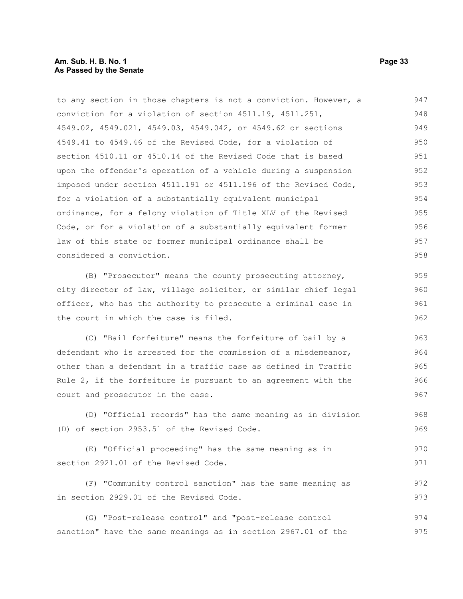#### **Am. Sub. H. B. No. 1 Page 33 As Passed by the Senate**

to any section in those chapters is not a conviction. However, a conviction for a violation of section 4511.19, 4511.251, 4549.02, 4549.021, 4549.03, 4549.042, or 4549.62 or sections 4549.41 to 4549.46 of the Revised Code, for a violation of section 4510.11 or 4510.14 of the Revised Code that is based upon the offender's operation of a vehicle during a suspension imposed under section 4511.191 or 4511.196 of the Revised Code, for a violation of a substantially equivalent municipal ordinance, for a felony violation of Title XLV of the Revised Code, or for a violation of a substantially equivalent former law of this state or former municipal ordinance shall be considered a conviction. 947 948 949 950 951 952 953 954 955 956 957 958

(B) "Prosecutor" means the county prosecuting attorney, city director of law, village solicitor, or similar chief legal officer, who has the authority to prosecute a criminal case in the court in which the case is filed.

(C) "Bail forfeiture" means the forfeiture of bail by a defendant who is arrested for the commission of a misdemeanor, other than a defendant in a traffic case as defined in Traffic Rule 2, if the forfeiture is pursuant to an agreement with the court and prosecutor in the case. 963 964 965 966 967

(D) "Official records" has the same meaning as in division (D) of section 2953.51 of the Revised Code.

(E) "Official proceeding" has the same meaning as in section 2921.01 of the Revised Code. 970 971

(F) "Community control sanction" has the same meaning as in section 2929.01 of the Revised Code. 972 973

(G) "Post-release control" and "post-release control sanction" have the same meanings as in section 2967.01 of the 974 975

968 969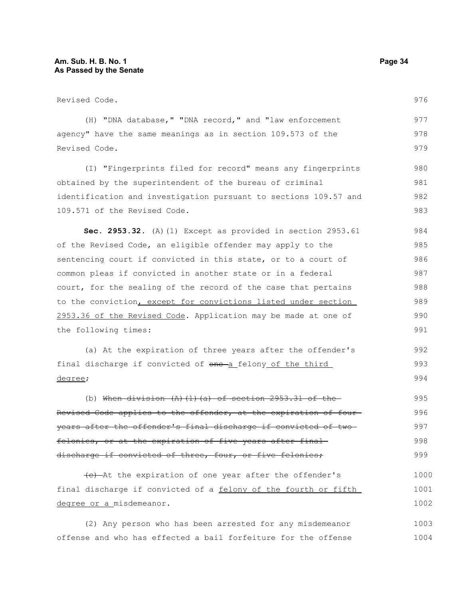Revised Code. (H) "DNA database," "DNA record," and "law enforcement agency" have the same meanings as in section 109.573 of the Revised Code. (I) "Fingerprints filed for record" means any fingerprints obtained by the superintendent of the bureau of criminal identification and investigation pursuant to sections 109.57 and 109.571 of the Revised Code. **Sec. 2953.32.** (A)(1) Except as provided in section 2953.61 of the Revised Code, an eligible offender may apply to the sentencing court if convicted in this state, or to a court of common pleas if convicted in another state or in a federal court, for the sealing of the record of the case that pertains to the conviction, except for convictions listed under section 2953.36 of the Revised Code. Application may be made at one of the following times: (a) At the expiration of three years after the offender's final discharge if convicted of one-a felony of the third degree; (b) When division  $(A)$   $(1)$   $(a)$  of section 2953.31 of the-Revised Code applies to the offender, at the expiration of fouryears after the offender's final discharge if convicted of two felonies, or at the expiration of five years after finaldischarge if convicted of three, four, or five felonies, 976 977 978 979 980 981 982 983 984 985 986 987 988 989 990 991 992 993 994 995 996 997 998 999

(c) At the expiration of one year after the offender's final discharge if convicted of a felony of the fourth or fifth degree or a misdemeanor. 1000 1001 1002

(2) Any person who has been arrested for any misdemeanor offense and who has effected a bail forfeiture for the offense 1003 1004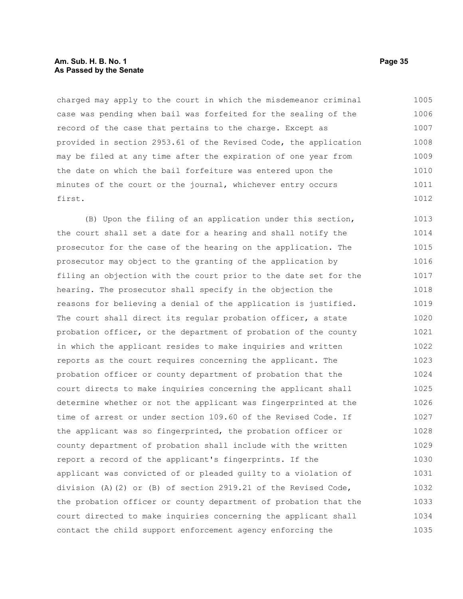#### **Am. Sub. H. B. No. 1 Page 35 As Passed by the Senate**

charged may apply to the court in which the misdemeanor criminal case was pending when bail was forfeited for the sealing of the record of the case that pertains to the charge. Except as provided in section 2953.61 of the Revised Code, the application may be filed at any time after the expiration of one year from the date on which the bail forfeiture was entered upon the minutes of the court or the journal, whichever entry occurs first. 1005 1006 1007 1008 1009 1010 1011 1012

(B) Upon the filing of an application under this section, the court shall set a date for a hearing and shall notify the prosecutor for the case of the hearing on the application. The prosecutor may object to the granting of the application by filing an objection with the court prior to the date set for the hearing. The prosecutor shall specify in the objection the reasons for believing a denial of the application is justified. The court shall direct its regular probation officer, a state probation officer, or the department of probation of the county in which the applicant resides to make inquiries and written reports as the court requires concerning the applicant. The probation officer or county department of probation that the court directs to make inquiries concerning the applicant shall determine whether or not the applicant was fingerprinted at the time of arrest or under section 109.60 of the Revised Code. If the applicant was so fingerprinted, the probation officer or county department of probation shall include with the written report a record of the applicant's fingerprints. If the applicant was convicted of or pleaded guilty to a violation of division (A)(2) or (B) of section 2919.21 of the Revised Code, the probation officer or county department of probation that the court directed to make inquiries concerning the applicant shall contact the child support enforcement agency enforcing the 1013 1014 1015 1016 1017 1018 1019 1020 1021 1022 1023 1024 1025 1026 1027 1028 1029 1030 1031 1032 1033 1034 1035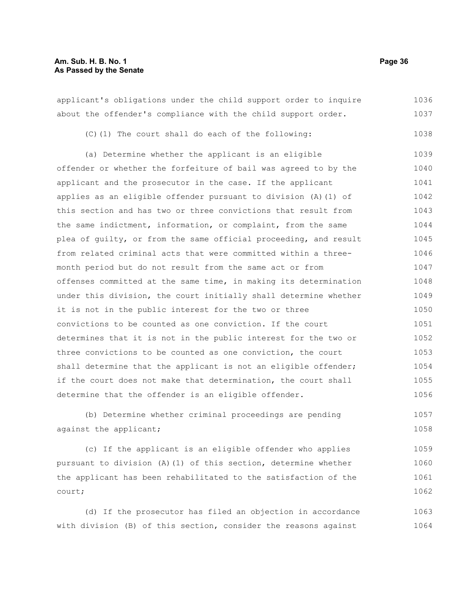applicant's obligations under the child support order to inquire about the offender's compliance with the child support order. (C)(1) The court shall do each of the following: (a) Determine whether the applicant is an eligible offender or whether the forfeiture of bail was agreed to by the applicant and the prosecutor in the case. If the applicant applies as an eligible offender pursuant to division (A)(1) of this section and has two or three convictions that result from the same indictment, information, or complaint, from the same plea of guilty, or from the same official proceeding, and result from related criminal acts that were committed within a threemonth period but do not result from the same act or from offenses committed at the same time, in making its determination under this division, the court initially shall determine whether it is not in the public interest for the two or three convictions to be counted as one conviction. If the court determines that it is not in the public interest for the two or three convictions to be counted as one conviction, the court shall determine that the applicant is not an eligible offender; if the court does not make that determination, the court shall determine that the offender is an eligible offender. 1036 1037 1038 1039 1040 1041 1042 1043 1044 1045 1046 1047 1048 1049 1050 1051 1052 1053 1054 1055 1056

(b) Determine whether criminal proceedings are pending against the applicant; 1057 1058

(c) If the applicant is an eligible offender who applies pursuant to division (A)(1) of this section, determine whether the applicant has been rehabilitated to the satisfaction of the court; 1059 1060 1061 1062

(d) If the prosecutor has filed an objection in accordance with division (B) of this section, consider the reasons against 1063 1064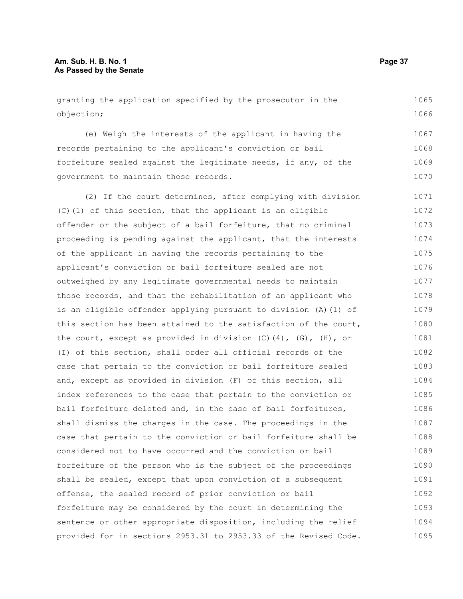granting the application specified by the prosecutor in the objection; (e) Weigh the interests of the applicant in having the records pertaining to the applicant's conviction or bail forfeiture sealed against the legitimate needs, if any, of the government to maintain those records. (2) If the court determines, after complying with division (C)(1) of this section, that the applicant is an eligible offender or the subject of a bail forfeiture, that no criminal proceeding is pending against the applicant, that the interests of the applicant in having the records pertaining to the applicant's conviction or bail forfeiture sealed are not outweighed by any legitimate governmental needs to maintain those records, and that the rehabilitation of an applicant who is an eligible offender applying pursuant to division (A)(1) of this section has been attained to the satisfaction of the court, the court, except as provided in division  $(C)$  (4),  $(G)$ ,  $(H)$ , or (I) of this section, shall order all official records of the case that pertain to the conviction or bail forfeiture sealed and, except as provided in division (F) of this section, all index references to the case that pertain to the conviction or bail forfeiture deleted and, in the case of bail forfeitures, shall dismiss the charges in the case. The proceedings in the case that pertain to the conviction or bail forfeiture shall be considered not to have occurred and the conviction or bail forfeiture of the person who is the subject of the proceedings shall be sealed, except that upon conviction of a subsequent offense, the sealed record of prior conviction or bail forfeiture may be considered by the court in determining the sentence or other appropriate disposition, including the relief 1065 1066 1067 1068 1069 1070 1071 1072 1073 1074 1075 1076 1077 1078 1079 1080 1081 1082 1083 1084 1085 1086 1087 1088 1089 1090 1091 1092 1093 1094

provided for in sections 2953.31 to 2953.33 of the Revised Code. 1095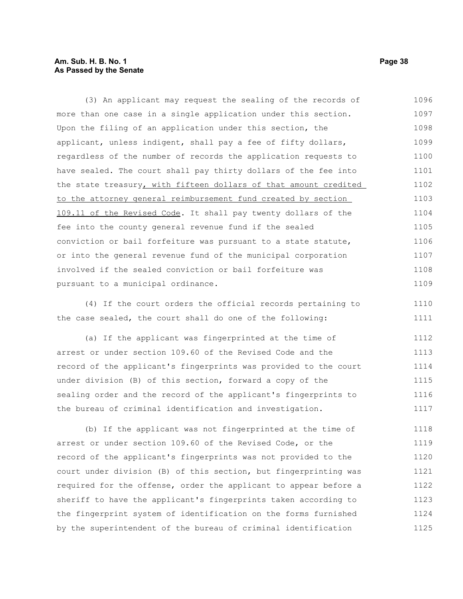### **Am. Sub. H. B. No. 1 Page 38 As Passed by the Senate**

| (3) An applicant may request the sealing of the records of       | 1096 |
|------------------------------------------------------------------|------|
| more than one case in a single application under this section.   | 1097 |
| Upon the filing of an application under this section, the        | 1098 |
| applicant, unless indigent, shall pay a fee of fifty dollars,    | 1099 |
| regardless of the number of records the application requests to  | 1100 |
| have sealed. The court shall pay thirty dollars of the fee into  | 1101 |
| the state treasury, with fifteen dollars of that amount credited | 1102 |
| to the attorney general reimbursement fund created by section    | 1103 |
| 109.11 of the Revised Code. It shall pay twenty dollars of the   | 1104 |
| fee into the county general revenue fund if the sealed           | 1105 |
| conviction or bail forfeiture was pursuant to a state statute,   | 1106 |
| or into the general revenue fund of the municipal corporation    | 1107 |
| involved if the sealed conviction or bail forfeiture was         | 1108 |
| pursuant to a municipal ordinance.                               | 1109 |
| (4) If the court orders the official records pertaining to       | 1110 |
| the case sealed, the court shall do one of the following:        | 1111 |
| (a) If the applicant was fingerprinted at the time of            | 1112 |
| arrest or under section 109.60 of the Revised Code and the       | 1113 |
| record of the applicant's fingerprints was provided to the court | 1114 |
| under division (B) of this section, forward a copy of the        | 1115 |
| sealing order and the record of the applicant's fingerprints to  | 1116 |

(b) If the applicant was not fingerprinted at the time of arrest or under section 109.60 of the Revised Code, or the record of the applicant's fingerprints was not provided to the court under division (B) of this section, but fingerprinting was required for the offense, order the applicant to appear before a sheriff to have the applicant's fingerprints taken according to the fingerprint system of identification on the forms furnished by the superintendent of the bureau of criminal identification 1118 1119 1120 1121 1122 1123 1124 1125

the bureau of criminal identification and investigation.

1117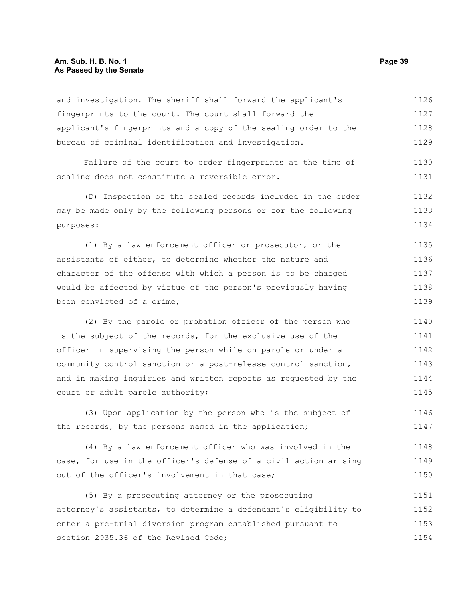#### **Am. Sub. H. B. No. 1 Page 39 As Passed by the Senate**

and investigation. The sheriff shall forward the applicant's fingerprints to the court. The court shall forward the applicant's fingerprints and a copy of the sealing order to the bureau of criminal identification and investigation. 1126 1127 1128 1129

Failure of the court to order fingerprints at the time of sealing does not constitute a reversible error. 1130 1131

(D) Inspection of the sealed records included in the order may be made only by the following persons or for the following purposes: 1132 1133 1134

(1) By a law enforcement officer or prosecutor, or the assistants of either, to determine whether the nature and character of the offense with which a person is to be charged would be affected by virtue of the person's previously having been convicted of a crime; 1135 1136 1137 1138 1139

(2) By the parole or probation officer of the person who is the subject of the records, for the exclusive use of the officer in supervising the person while on parole or under a community control sanction or a post-release control sanction, and in making inquiries and written reports as requested by the court or adult parole authority; 1140 1141 1142 1143 1144 1145

(3) Upon application by the person who is the subject of the records, by the persons named in the application; 1146 1147

(4) By a law enforcement officer who was involved in the case, for use in the officer's defense of a civil action arising out of the officer's involvement in that case; 1148 1149 1150

(5) By a prosecuting attorney or the prosecuting attorney's assistants, to determine a defendant's eligibility to enter a pre-trial diversion program established pursuant to section 2935.36 of the Revised Code; 1151 1152 1153 1154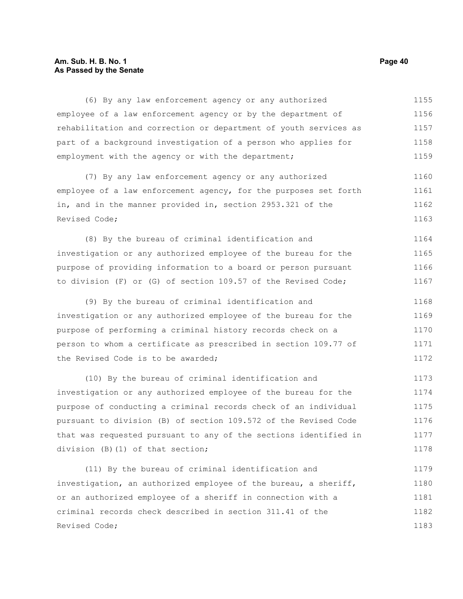#### **Am. Sub. H. B. No. 1 Page 40 As Passed by the Senate**

(6) By any law enforcement agency or any authorized employee of a law enforcement agency or by the department of rehabilitation and correction or department of youth services as part of a background investigation of a person who applies for employment with the agency or with the department; 1155 1156 1157 1158 1159

(7) By any law enforcement agency or any authorized employee of a law enforcement agency, for the purposes set forth in, and in the manner provided in, section 2953.321 of the Revised Code; 1160 1161 1162 1163

(8) By the bureau of criminal identification and investigation or any authorized employee of the bureau for the purpose of providing information to a board or person pursuant to division (F) or (G) of section 109.57 of the Revised Code; 1164 1165 1166 1167

(9) By the bureau of criminal identification and investigation or any authorized employee of the bureau for the purpose of performing a criminal history records check on a person to whom a certificate as prescribed in section 109.77 of the Revised Code is to be awarded; 1168 1169 1170 1171 1172

(10) By the bureau of criminal identification and investigation or any authorized employee of the bureau for the purpose of conducting a criminal records check of an individual pursuant to division (B) of section 109.572 of the Revised Code that was requested pursuant to any of the sections identified in division (B)(1) of that section; 1173 1174 1175 1176 1177 1178

(11) By the bureau of criminal identification and investigation, an authorized employee of the bureau, a sheriff, or an authorized employee of a sheriff in connection with a criminal records check described in section 311.41 of the Revised Code; 1179 1180 1181 1182 1183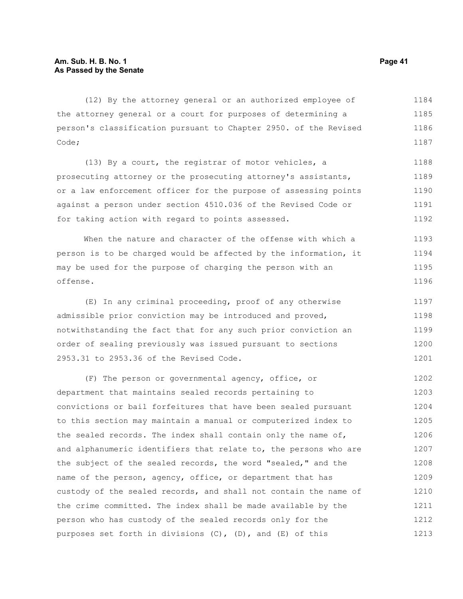(12) By the attorney general or an authorized employee of the attorney general or a court for purposes of determining a person's classification pursuant to Chapter 2950. of the Revised Code; 1184 1185 1186 1187

(13) By a court, the registrar of motor vehicles, a prosecuting attorney or the prosecuting attorney's assistants, or a law enforcement officer for the purpose of assessing points against a person under section 4510.036 of the Revised Code or for taking action with regard to points assessed. 1188 1189 1190 1191 1192

When the nature and character of the offense with which a person is to be charged would be affected by the information, it may be used for the purpose of charging the person with an offense. 1193 1194 1195 1196

(E) In any criminal proceeding, proof of any otherwise admissible prior conviction may be introduced and proved, notwithstanding the fact that for any such prior conviction an order of sealing previously was issued pursuant to sections 2953.31 to 2953.36 of the Revised Code. 1197 1198 1199 1200 1201

(F) The person or governmental agency, office, or department that maintains sealed records pertaining to convictions or bail forfeitures that have been sealed pursuant to this section may maintain a manual or computerized index to the sealed records. The index shall contain only the name of, and alphanumeric identifiers that relate to, the persons who are the subject of the sealed records, the word "sealed," and the name of the person, agency, office, or department that has custody of the sealed records, and shall not contain the name of the crime committed. The index shall be made available by the person who has custody of the sealed records only for the purposes set forth in divisions (C), (D), and (E) of this 1202 1203 1204 1205 1206 1207 1208 1209 1210 1211 1212 1213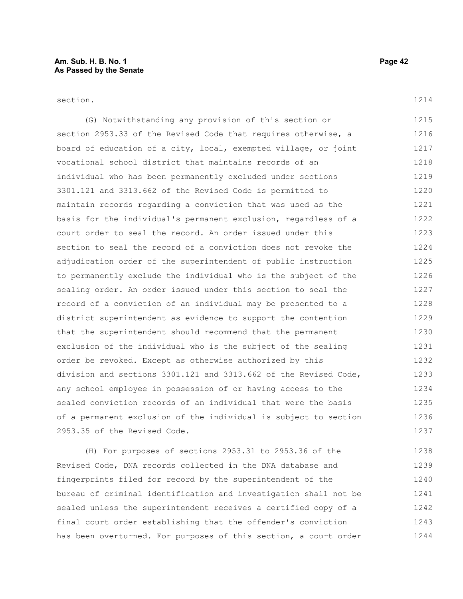1214

(G) Notwithstanding any provision of this section or section 2953.33 of the Revised Code that requires otherwise, a board of education of a city, local, exempted village, or joint vocational school district that maintains records of an individual who has been permanently excluded under sections 3301.121 and 3313.662 of the Revised Code is permitted to maintain records regarding a conviction that was used as the basis for the individual's permanent exclusion, regardless of a court order to seal the record. An order issued under this section to seal the record of a conviction does not revoke the adjudication order of the superintendent of public instruction to permanently exclude the individual who is the subject of the sealing order. An order issued under this section to seal the record of a conviction of an individual may be presented to a district superintendent as evidence to support the contention that the superintendent should recommend that the permanent exclusion of the individual who is the subject of the sealing order be revoked. Except as otherwise authorized by this division and sections 3301.121 and 3313.662 of the Revised Code, any school employee in possession of or having access to the sealed conviction records of an individual that were the basis of a permanent exclusion of the individual is subject to section 2953.35 of the Revised Code. 1215 1216 1217 1218 1219 1220 1221 1222 1223 1224 1225 1226 1227 1228 1229 1230 1231 1232 1233 1234 1235 1236 1237

(H) For purposes of sections 2953.31 to 2953.36 of the Revised Code, DNA records collected in the DNA database and fingerprints filed for record by the superintendent of the bureau of criminal identification and investigation shall not be sealed unless the superintendent receives a certified copy of a final court order establishing that the offender's conviction has been overturned. For purposes of this section, a court order 1238 1239 1240 1241 1242 1243 1244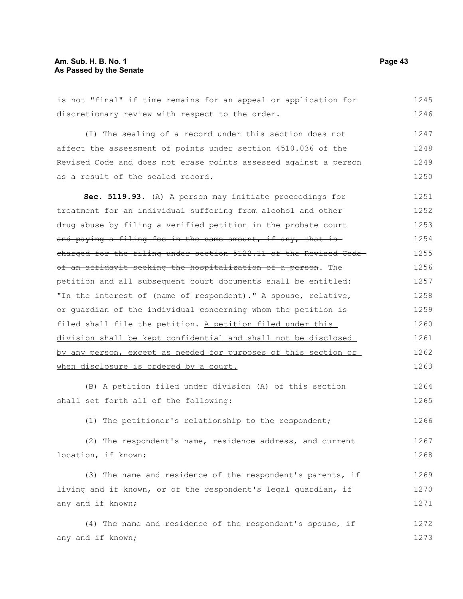#### **Am. Sub. H. B. No. 1 Page 43 As Passed by the Senate**

is not "final" if time remains for an appeal or application for discretionary review with respect to the order. (I) The sealing of a record under this section does not affect the assessment of points under section 4510.036 of the Revised Code and does not erase points assessed against a person as a result of the sealed record. **Sec. 5119.93.** (A) A person may initiate proceedings for treatment for an individual suffering from alcohol and other drug abuse by filing a verified petition in the probate court and paying a filing fee in the same amount, if any, that is charged for the filing under section 5122.11 of the Revised Code of an affidavit seeking the hospitalization of a person. The petition and all subsequent court documents shall be entitled: "In the interest of (name of respondent)." A spouse, relative, or guardian of the individual concerning whom the petition is filed shall file the petition. A petition filed under this division shall be kept confidential and shall not be disclosed by any person, except as needed for purposes of this section or when disclosure is ordered by a court. (B) A petition filed under division (A) of this section shall set forth all of the following: (1) The petitioner's relationship to the respondent; (2) The respondent's name, residence address, and current location, if known; (3) The name and residence of the respondent's parents, if living and if known, or of the respondent's legal guardian, if any and if known; (4) The name and residence of the respondent's spouse, if any and if known; 1245 1246 1247 1248 1249 1250 1251 1252 1253 1254 1255 1256 1257 1258 1259 1260 1261 1262 1263 1264 1265 1266 1267 1268 1269 1270 1271 1272 1273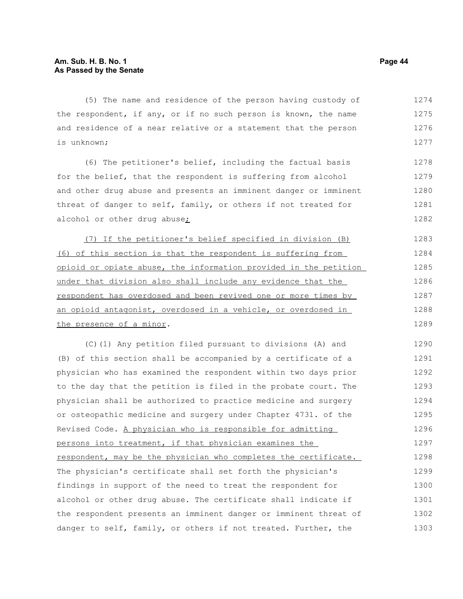(5) The name and residence of the person having custody of the respondent, if any, or if no such person is known, the name and residence of a near relative or a statement that the person is unknown; 1274 1275 1276 1277

(6) The petitioner's belief, including the factual basis for the belief, that the respondent is suffering from alcohol and other drug abuse and presents an imminent danger or imminent threat of danger to self, family, or others if not treated for alcohol or other drug abuse; 1278 1279 1280 1281 1282

(7) If the petitioner's belief specified in division (B) (6) of this section is that the respondent is suffering from opioid or opiate abuse, the information provided in the petition under that division also shall include any evidence that the respondent has overdosed and been revived one or more times by an opioid antagonist, overdosed in a vehicle, or overdosed in the presence of a minor. 1283 1284 1285 1286 1287 1288 1289

(C)(1) Any petition filed pursuant to divisions (A) and (B) of this section shall be accompanied by a certificate of a physician who has examined the respondent within two days prior to the day that the petition is filed in the probate court. The physician shall be authorized to practice medicine and surgery or osteopathic medicine and surgery under Chapter 4731. of the Revised Code. A physician who is responsible for admitting persons into treatment, if that physician examines the respondent, may be the physician who completes the certificate. The physician's certificate shall set forth the physician's findings in support of the need to treat the respondent for alcohol or other drug abuse. The certificate shall indicate if the respondent presents an imminent danger or imminent threat of danger to self, family, or others if not treated. Further, the 1290 1291 1292 1293 1294 1295 1296 1297 1298 1299 1300 1301 1302 1303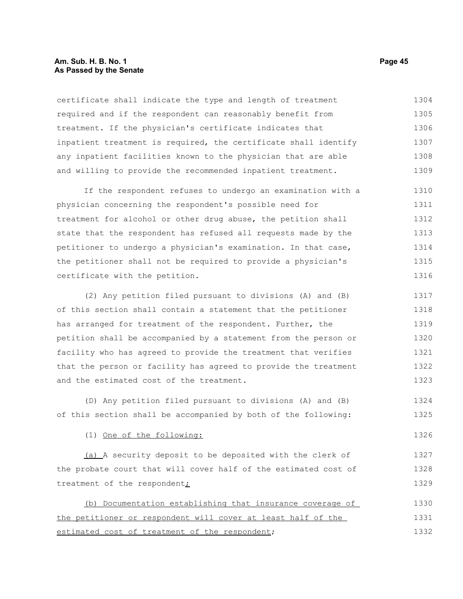#### **Am. Sub. H. B. No. 1 Page 45 As Passed by the Senate**

certificate shall indicate the type and length of treatment required and if the respondent can reasonably benefit from treatment. If the physician's certificate indicates that inpatient treatment is required, the certificate shall identify any inpatient facilities known to the physician that are able and willing to provide the recommended inpatient treatment. 1304 1305 1306 1307 1308 1309

If the respondent refuses to undergo an examination with a physician concerning the respondent's possible need for treatment for alcohol or other drug abuse, the petition shall state that the respondent has refused all requests made by the petitioner to undergo a physician's examination. In that case, the petitioner shall not be required to provide a physician's certificate with the petition. 1310 1311 1312 1313 1314 1315 1316

(2) Any petition filed pursuant to divisions (A) and (B) of this section shall contain a statement that the petitioner has arranged for treatment of the respondent. Further, the petition shall be accompanied by a statement from the person or facility who has agreed to provide the treatment that verifies that the person or facility has agreed to provide the treatment and the estimated cost of the treatment. 1317 1318 1319 1320 1321 1322 1323

(D) Any petition filed pursuant to divisions (A) and (B) of this section shall be accompanied by both of the following: 1324 1325

(1) One of the following:

(a) A security deposit to be deposited with the clerk of the probate court that will cover half of the estimated cost of treatment of the respondent; 1327 1328 1329

(b) Documentation establishing that insurance coverage of the petitioner or respondent will cover at least half of the estimated cost of treatment of the respondent; 1330 1331 1332

1326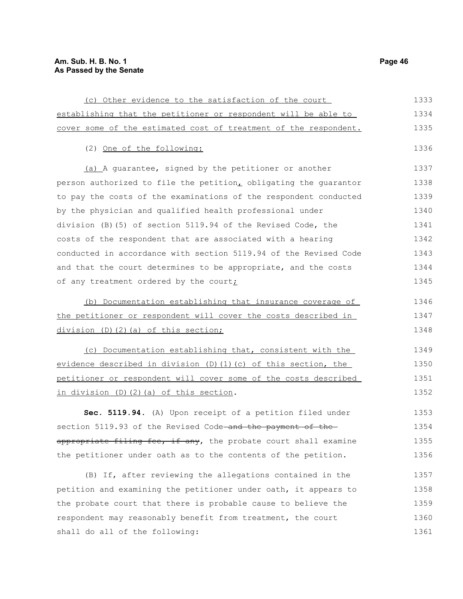| (c) Other evidence to the satisfaction of the court              | 1333 |
|------------------------------------------------------------------|------|
| establishing that the petitioner or respondent will be able to   | 1334 |
| cover some of the estimated cost of treatment of the respondent. | 1335 |
| (2) One of the following:                                        | 1336 |
|                                                                  |      |
| (a) A quarantee, signed by the petitioner or another             | 1337 |
| person authorized to file the petition, obligating the quarantor | 1338 |
| to pay the costs of the examinations of the respondent conducted | 1339 |
| by the physician and qualified health professional under         | 1340 |
| division (B) (5) of section 5119.94 of the Revised Code, the     | 1341 |
| costs of the respondent that are associated with a hearing       | 1342 |
| conducted in accordance with section 5119.94 of the Revised Code | 1343 |
| and that the court determines to be appropriate, and the costs   | 1344 |
| of any treatment ordered by the court;                           | 1345 |
| (b) Documentation establishing that insurance coverage of        | 1346 |
| the petitioner or respondent will cover the costs described in   | 1347 |
| division (D)(2)(a) of this section;                              | 1348 |
| (c) Documentation establishing that, consistent with the         | 1349 |
| evidence described in division (D)(1)(c) of this section, the    | 1350 |
| petitioner or respondent will cover some of the costs described  | 1351 |
| in division (D) (2) (a) of this section.                         | 1352 |
| Sec. 5119.94. (A) Upon receipt of a petition filed under         | 1353 |
| section 5119.93 of the Revised Code and the payment of the       | 1354 |
| appropriate filing fee, if any, the probate court shall examine  | 1355 |
| the petitioner under oath as to the contents of the petition.    | 1356 |
| (B) If, after reviewing the allegations contained in the         | 1357 |
| petition and examining the petitioner under oath, it appears to  | 1358 |
| the probate court that there is probable cause to believe the    | 1359 |
| respondent may reasonably benefit from treatment, the court      | 1360 |
| shall do all of the following:                                   | 1361 |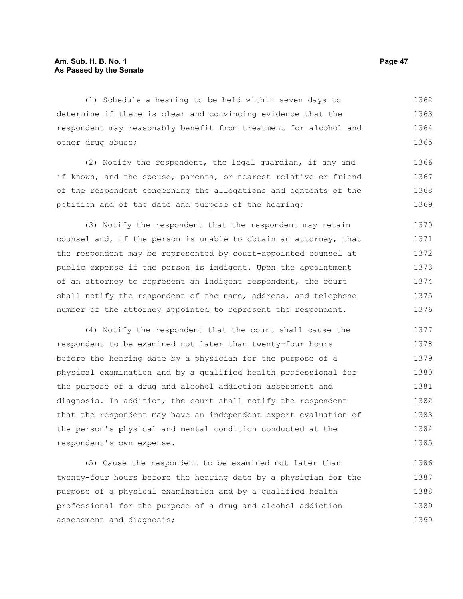#### **Am. Sub. H. B. No. 1 Page 47 As Passed by the Senate**

(1) Schedule a hearing to be held within seven days to determine if there is clear and convincing evidence that the respondent may reasonably benefit from treatment for alcohol and other drug abuse; 1362 1363 1364 1365

(2) Notify the respondent, the legal guardian, if any and if known, and the spouse, parents, or nearest relative or friend of the respondent concerning the allegations and contents of the petition and of the date and purpose of the hearing; 1366 1367 1368 1369

(3) Notify the respondent that the respondent may retain counsel and, if the person is unable to obtain an attorney, that the respondent may be represented by court-appointed counsel at public expense if the person is indigent. Upon the appointment of an attorney to represent an indigent respondent, the court shall notify the respondent of the name, address, and telephone number of the attorney appointed to represent the respondent. 1370 1371 1372 1373 1374 1375 1376

(4) Notify the respondent that the court shall cause the respondent to be examined not later than twenty-four hours before the hearing date by a physician for the purpose of a physical examination and by a qualified health professional for the purpose of a drug and alcohol addiction assessment and diagnosis. In addition, the court shall notify the respondent that the respondent may have an independent expert evaluation of the person's physical and mental condition conducted at the respondent's own expense. 1377 1378 1379 1380 1381 1382 1383 1384 1385

(5) Cause the respondent to be examined not later than twenty-four hours before the hearing date by a physician for the purpose of a physical examination and by a qualified health professional for the purpose of a drug and alcohol addiction assessment and diagnosis; 1386 1387 1388 1389 1390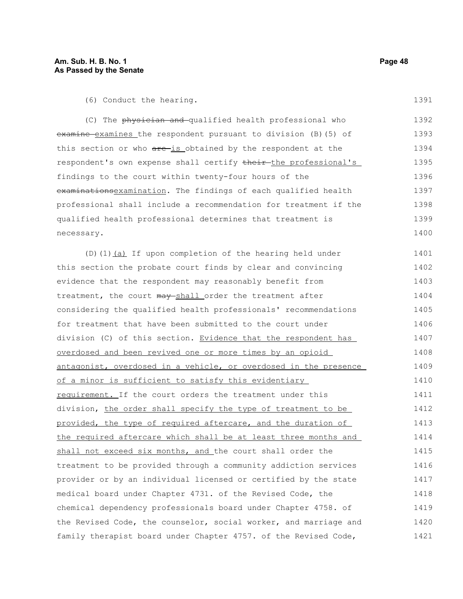(6) Conduct the hearing.

1391

| (C) The physician and qualified health professional who          | 1392 |
|------------------------------------------------------------------|------|
| examine examines the respondent pursuant to division (B) (5) of  | 1393 |
| this section or who are is obtained by the respondent at the     | 1394 |
| respondent's own expense shall certify their-the professional's  | 1395 |
| findings to the court within twenty-four hours of the            | 1396 |
| examinationsexamination. The findings of each qualified health   | 1397 |
| professional shall include a recommendation for treatment if the | 1398 |
| qualified health professional determines that treatment is       | 1399 |
| necessary.                                                       | 1400 |

(D)(1)(a) If upon completion of the hearing held under this section the probate court finds by clear and convincing evidence that the respondent may reasonably benefit from treatment, the court may shall order the treatment after considering the qualified health professionals' recommendations for treatment that have been submitted to the court under division (C) of this section. Evidence that the respondent has overdosed and been revived one or more times by an opioid antagonist, overdosed in a vehicle, or overdosed in the presence of a minor is sufficient to satisfy this evidentiary requirement. If the court orders the treatment under this division, the order shall specify the type of treatment to be provided, the type of required aftercare, and the duration of the required aftercare which shall be at least three months and shall not exceed six months, and the court shall order the treatment to be provided through a community addiction services provider or by an individual licensed or certified by the state medical board under Chapter 4731. of the Revised Code, the chemical dependency professionals board under Chapter 4758. of the Revised Code, the counselor, social worker, and marriage and family therapist board under Chapter 4757. of the Revised Code, 1401 1402 1403 1404 1405 1406 1407 1408 1409 1410 1411 1412 1413 1414 1415 1416 1417 1418 1419 1420 1421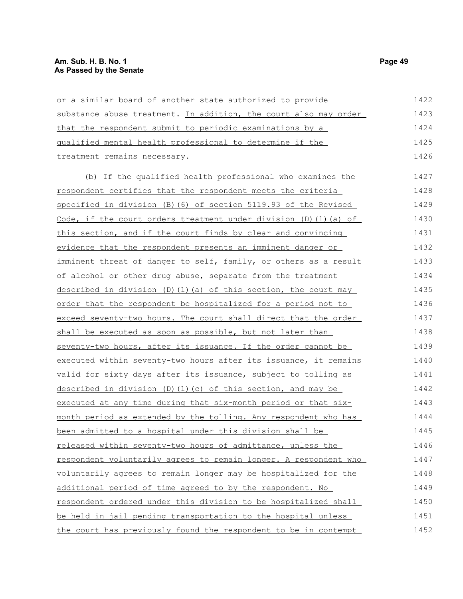| or a similar board of another state authorized to provide          | 1422 |
|--------------------------------------------------------------------|------|
| substance abuse treatment. In addition, the court also may order   | 1423 |
| that the respondent submit to periodic examinations by a           | 1424 |
| qualified mental health professional to determine if the           | 1425 |
| treatment remains necessary.                                       | 1426 |
| (b) If the qualified health professional who examines the          | 1427 |
| <u>respondent certifies that the respondent meets the criteria</u> | 1428 |
| specified in division (B) (6) of section 5119.93 of the Revised    | 1429 |
| Code, if the court orders treatment under division (D)(1)(a) of    | 1430 |
| this section, and if the court finds by clear and convincing       | 1431 |
| evidence that the respondent presents an imminent danger or        | 1432 |
| imminent threat of danger to self, family, or others as a result   | 1433 |
| of alcohol or other drug abuse, separate from the treatment        | 1434 |
| described in division (D) (1) (a) of this section, the court may   | 1435 |
| order that the respondent be hospitalized for a period not to      | 1436 |
| exceed seventy-two hours. The court shall direct that the order    | 1437 |
| shall be executed as soon as possible, but not later than          | 1438 |
| seventy-two hours, after its issuance. If the order cannot be      | 1439 |
| executed within seventy-two hours after its issuance, it remains   | 1440 |
| valid for sixty days after its issuance, subject to tolling as     | 1441 |
| described in division (D)(1)(c) of this section, and may be        | 1442 |
| executed at any time during that six-month period or that six-     | 1443 |
| month period as extended by the tolling. Any respondent who has    | 1444 |
| been admitted to a hospital under this division shall be           | 1445 |
| released within seventy-two hours of admittance, unless the        | 1446 |
| respondent voluntarily agrees to remain longer. A respondent who   | 1447 |
| voluntarily agrees to remain longer may be hospitalized for the    | 1448 |
| additional period of time agreed to by the respondent. No          | 1449 |
| respondent ordered under this division to be hospitalized shall    | 1450 |
| be held in jail pending transportation to the hospital unless      | 1451 |
| the court has previously found the respondent to be in contempt    | 1452 |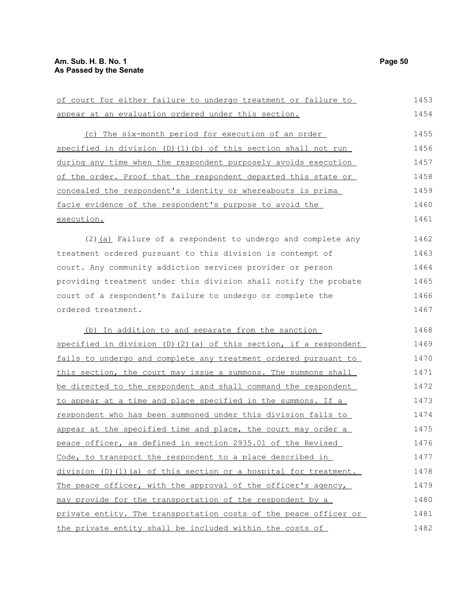of court for either failure to undergo treatment or failure to appear at an evaluation ordered under this section. (c) The six-month period for execution of an order specified in division  $(D)(1)(b)$  of this section shall not run during any time when the respondent purposely avoids execution of the order. Proof that the respondent departed this state or concealed the respondent's identity or whereabouts is prima facie evidence of the respondent's purpose to avoid the execution. (2)(a) Failure of a respondent to undergo and complete any treatment ordered pursuant to this division is contempt of court. Any community addiction services provider or person providing treatment under this division shall notify the probate court of a respondent's failure to undergo or complete the ordered treatment. (b) In addition to and separate from the sanction specified in division  $(D)$   $(2)$   $(a)$  of this section, if a respondent fails to undergo and complete any treatment ordered pursuant to this section, the court may issue a summons. The summons shall be directed to the respondent and shall command the respondent to appear at a time and place specified in the summons. If a respondent who has been summoned under this division fails to appear at the specified time and place, the court may order a peace officer, as defined in section 2935.01 of the Revised Code, to transport the respondent to a place described in division (D)(1)(a) of this section or a hospital for treatment. The peace officer, with the approval of the officer's agency, may provide for the transportation of the respondent by a private entity. The transportation costs of the peace officer or the private entity shall be included within the costs of 1453 1454 1455 1456 1457 1458 1459 1460 1461 1462 1463 1464 1465 1466 1467 1468 1469 1470 1471 1472 1473 1474 1475 1476 1477 1478 1479 1480 1481 1482